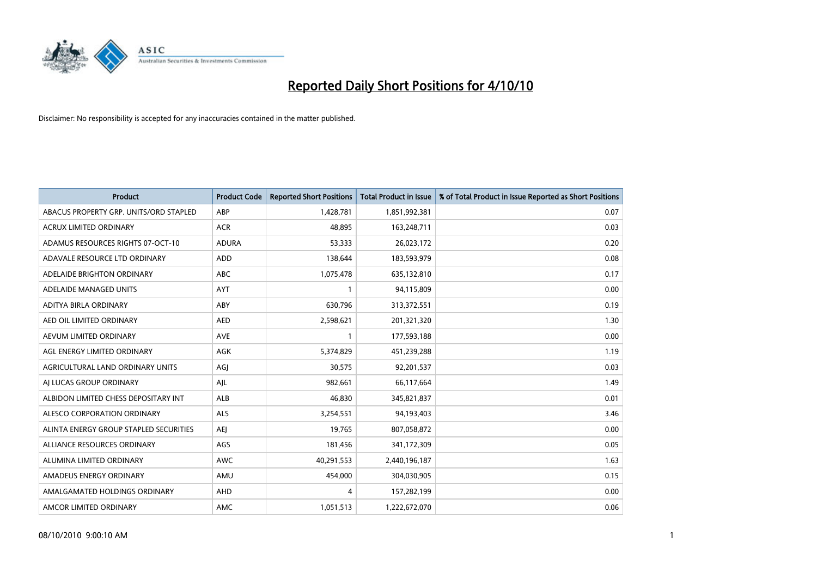

| <b>Product</b>                         | <b>Product Code</b> | <b>Reported Short Positions</b> | <b>Total Product in Issue</b> | % of Total Product in Issue Reported as Short Positions |
|----------------------------------------|---------------------|---------------------------------|-------------------------------|---------------------------------------------------------|
| ABACUS PROPERTY GRP. UNITS/ORD STAPLED | ABP                 | 1,428,781                       | 1,851,992,381                 | 0.07                                                    |
| ACRUX LIMITED ORDINARY                 | <b>ACR</b>          | 48,895                          | 163,248,711                   | 0.03                                                    |
| ADAMUS RESOURCES RIGHTS 07-OCT-10      | <b>ADURA</b>        | 53,333                          | 26,023,172                    | 0.20                                                    |
| ADAVALE RESOURCE LTD ORDINARY          | <b>ADD</b>          | 138,644                         | 183,593,979                   | 0.08                                                    |
| ADELAIDE BRIGHTON ORDINARY             | <b>ABC</b>          | 1,075,478                       | 635,132,810                   | 0.17                                                    |
| ADELAIDE MANAGED UNITS                 | <b>AYT</b>          |                                 | 94,115,809                    | 0.00                                                    |
| ADITYA BIRLA ORDINARY                  | ABY                 | 630.796                         | 313,372,551                   | 0.19                                                    |
| AED OIL LIMITED ORDINARY               | <b>AED</b>          | 2,598,621                       | 201,321,320                   | 1.30                                                    |
| AEVUM LIMITED ORDINARY                 | <b>AVE</b>          |                                 | 177,593,188                   | 0.00                                                    |
| AGL ENERGY LIMITED ORDINARY            | <b>AGK</b>          | 5,374,829                       | 451,239,288                   | 1.19                                                    |
| AGRICULTURAL LAND ORDINARY UNITS       | AGJ                 | 30,575                          | 92,201,537                    | 0.03                                                    |
| AI LUCAS GROUP ORDINARY                | AJL                 | 982,661                         | 66,117,664                    | 1.49                                                    |
| ALBIDON LIMITED CHESS DEPOSITARY INT   | ALB                 | 46,830                          | 345,821,837                   | 0.01                                                    |
| ALESCO CORPORATION ORDINARY            | ALS                 | 3,254,551                       | 94,193,403                    | 3.46                                                    |
| ALINTA ENERGY GROUP STAPLED SECURITIES | AEJ                 | 19,765                          | 807,058,872                   | 0.00                                                    |
| ALLIANCE RESOURCES ORDINARY            | AGS                 | 181,456                         | 341,172,309                   | 0.05                                                    |
| ALUMINA LIMITED ORDINARY               | <b>AWC</b>          | 40,291,553                      | 2,440,196,187                 | 1.63                                                    |
| AMADEUS ENERGY ORDINARY                | AMU                 | 454,000                         | 304,030,905                   | 0.15                                                    |
| AMALGAMATED HOLDINGS ORDINARY          | <b>AHD</b>          | 4                               | 157,282,199                   | 0.00                                                    |
| AMCOR LIMITED ORDINARY                 | <b>AMC</b>          | 1,051,513                       | 1,222,672,070                 | 0.06                                                    |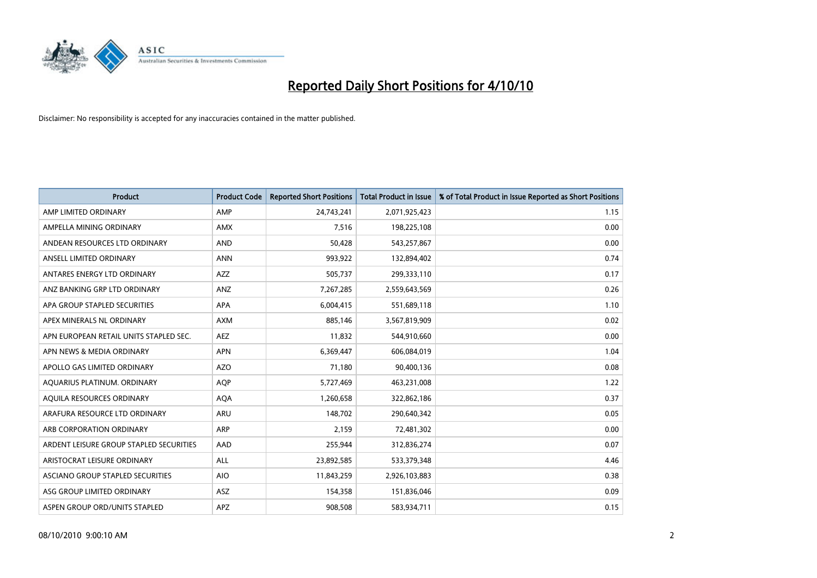

| <b>Product</b>                          | <b>Product Code</b> | <b>Reported Short Positions</b> | <b>Total Product in Issue</b> | % of Total Product in Issue Reported as Short Positions |
|-----------------------------------------|---------------------|---------------------------------|-------------------------------|---------------------------------------------------------|
| AMP LIMITED ORDINARY                    | AMP                 | 24,743,241                      | 2,071,925,423                 | 1.15                                                    |
| AMPELLA MINING ORDINARY                 | <b>AMX</b>          | 7,516                           | 198,225,108                   | 0.00                                                    |
| ANDEAN RESOURCES LTD ORDINARY           | <b>AND</b>          | 50,428                          | 543,257,867                   | 0.00                                                    |
| ANSELL LIMITED ORDINARY                 | <b>ANN</b>          | 993,922                         | 132,894,402                   | 0.74                                                    |
| ANTARES ENERGY LTD ORDINARY             | <b>AZZ</b>          | 505,737                         | 299,333,110                   | 0.17                                                    |
| ANZ BANKING GRP LTD ORDINARY            | <b>ANZ</b>          | 7,267,285                       | 2,559,643,569                 | 0.26                                                    |
| APA GROUP STAPLED SECURITIES            | <b>APA</b>          | 6,004,415                       | 551,689,118                   | 1.10                                                    |
| APEX MINERALS NL ORDINARY               | <b>AXM</b>          | 885,146                         | 3,567,819,909                 | 0.02                                                    |
| APN EUROPEAN RETAIL UNITS STAPLED SEC.  | <b>AEZ</b>          | 11,832                          | 544,910,660                   | 0.00                                                    |
| APN NEWS & MEDIA ORDINARY               | <b>APN</b>          | 6,369,447                       | 606,084,019                   | 1.04                                                    |
| APOLLO GAS LIMITED ORDINARY             | <b>AZO</b>          | 71,180                          | 90,400,136                    | 0.08                                                    |
| AQUARIUS PLATINUM. ORDINARY             | <b>AOP</b>          | 5,727,469                       | 463,231,008                   | 1.22                                                    |
| AQUILA RESOURCES ORDINARY               | <b>AQA</b>          | 1,260,658                       | 322,862,186                   | 0.37                                                    |
| ARAFURA RESOURCE LTD ORDINARY           | <b>ARU</b>          | 148.702                         | 290,640,342                   | 0.05                                                    |
| ARB CORPORATION ORDINARY                | <b>ARP</b>          | 2,159                           | 72,481,302                    | 0.00                                                    |
| ARDENT LEISURE GROUP STAPLED SECURITIES | <b>AAD</b>          | 255,944                         | 312,836,274                   | 0.07                                                    |
| ARISTOCRAT LEISURE ORDINARY             | <b>ALL</b>          | 23,892,585                      | 533,379,348                   | 4.46                                                    |
| ASCIANO GROUP STAPLED SECURITIES        | <b>AIO</b>          | 11,843,259                      | 2,926,103,883                 | 0.38                                                    |
| ASG GROUP LIMITED ORDINARY              | <b>ASZ</b>          | 154,358                         | 151,836,046                   | 0.09                                                    |
| ASPEN GROUP ORD/UNITS STAPLED           | <b>APZ</b>          | 908,508                         | 583,934,711                   | 0.15                                                    |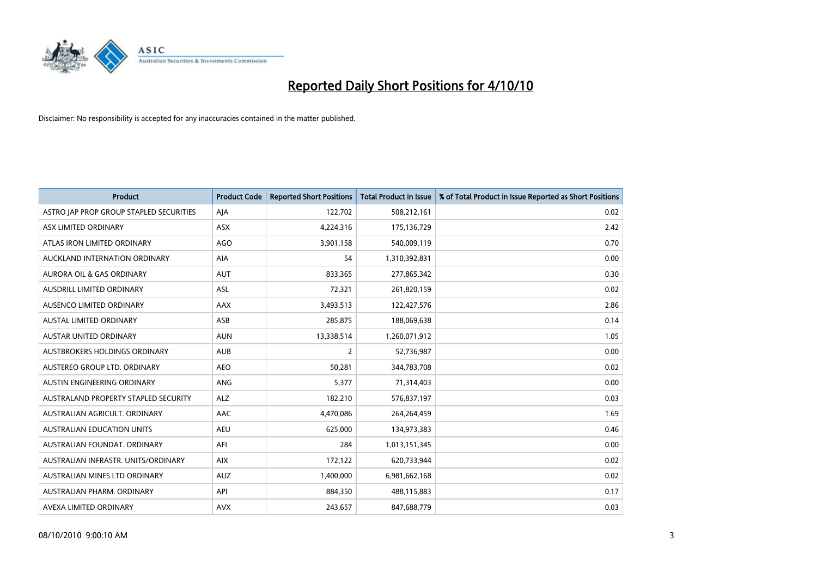

| <b>Product</b>                          | <b>Product Code</b> | <b>Reported Short Positions</b> | Total Product in Issue | % of Total Product in Issue Reported as Short Positions |
|-----------------------------------------|---------------------|---------------------------------|------------------------|---------------------------------------------------------|
| ASTRO JAP PROP GROUP STAPLED SECURITIES | AJA                 | 122,702                         | 508,212,161            | 0.02                                                    |
| ASX LIMITED ORDINARY                    | <b>ASX</b>          | 4,224,316                       | 175,136,729            | 2.42                                                    |
| ATLAS IRON LIMITED ORDINARY             | <b>AGO</b>          | 3,901,158                       | 540,009,119            | 0.70                                                    |
| AUCKLAND INTERNATION ORDINARY           | AIA                 | 54                              | 1,310,392,831          | 0.00                                                    |
| <b>AURORA OIL &amp; GAS ORDINARY</b>    | <b>AUT</b>          | 833,365                         | 277,865,342            | 0.30                                                    |
| <b>AUSDRILL LIMITED ORDINARY</b>        | <b>ASL</b>          | 72,321                          | 261,820,159            | 0.02                                                    |
| AUSENCO LIMITED ORDINARY                | <b>AAX</b>          | 3,493,513                       | 122,427,576            | 2.86                                                    |
| <b>AUSTAL LIMITED ORDINARY</b>          | ASB                 | 285,875                         | 188,069,638            | 0.14                                                    |
| AUSTAR UNITED ORDINARY                  | <b>AUN</b>          | 13,338,514                      | 1,260,071,912          | 1.05                                                    |
| AUSTBROKERS HOLDINGS ORDINARY           | <b>AUB</b>          | 2                               | 52,736,987             | 0.00                                                    |
| AUSTEREO GROUP LTD. ORDINARY            | <b>AEO</b>          | 50,281                          | 344,783,708            | 0.02                                                    |
| AUSTIN ENGINEERING ORDINARY             | ANG                 | 5,377                           | 71,314,403             | 0.00                                                    |
| AUSTRALAND PROPERTY STAPLED SECURITY    | <b>ALZ</b>          | 182,210                         | 576,837,197            | 0.03                                                    |
| AUSTRALIAN AGRICULT, ORDINARY           | AAC                 | 4,470,086                       | 264,264,459            | 1.69                                                    |
| <b>AUSTRALIAN EDUCATION UNITS</b>       | <b>AEU</b>          | 625,000                         | 134,973,383            | 0.46                                                    |
| AUSTRALIAN FOUNDAT, ORDINARY            | AFI                 | 284                             | 1,013,151,345          | 0.00                                                    |
| AUSTRALIAN INFRASTR, UNITS/ORDINARY     | <b>AIX</b>          | 172,122                         | 620,733,944            | 0.02                                                    |
| AUSTRALIAN MINES LTD ORDINARY           | <b>AUZ</b>          | 1,400,000                       | 6,981,662,168          | 0.02                                                    |
| AUSTRALIAN PHARM, ORDINARY              | API                 | 884,350                         | 488,115,883            | 0.17                                                    |
| AVEXA LIMITED ORDINARY                  | <b>AVX</b>          | 243,657                         | 847,688,779            | 0.03                                                    |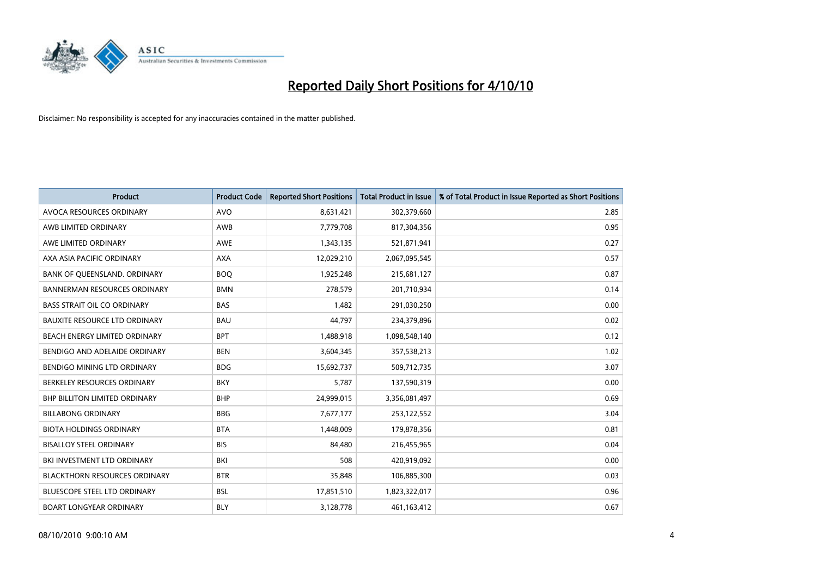

| Product                              | <b>Product Code</b> | <b>Reported Short Positions</b> | <b>Total Product in Issue</b> | % of Total Product in Issue Reported as Short Positions |
|--------------------------------------|---------------------|---------------------------------|-------------------------------|---------------------------------------------------------|
| AVOCA RESOURCES ORDINARY             | <b>AVO</b>          | 8,631,421                       | 302,379,660                   | 2.85                                                    |
| AWB LIMITED ORDINARY                 | AWB                 | 7,779,708                       | 817,304,356                   | 0.95                                                    |
| AWE LIMITED ORDINARY                 | <b>AWE</b>          | 1,343,135                       | 521,871,941                   | 0.27                                                    |
| AXA ASIA PACIFIC ORDINARY            | <b>AXA</b>          | 12,029,210                      | 2,067,095,545                 | 0.57                                                    |
| BANK OF QUEENSLAND. ORDINARY         | <b>BOQ</b>          | 1,925,248                       | 215,681,127                   | 0.87                                                    |
| <b>BANNERMAN RESOURCES ORDINARY</b>  | <b>BMN</b>          | 278,579                         | 201,710,934                   | 0.14                                                    |
| <b>BASS STRAIT OIL CO ORDINARY</b>   | <b>BAS</b>          | 1,482                           | 291,030,250                   | 0.00                                                    |
| <b>BAUXITE RESOURCE LTD ORDINARY</b> | <b>BAU</b>          | 44,797                          | 234,379,896                   | 0.02                                                    |
| BEACH ENERGY LIMITED ORDINARY        | <b>BPT</b>          | 1,488,918                       | 1,098,548,140                 | 0.12                                                    |
| BENDIGO AND ADELAIDE ORDINARY        | <b>BEN</b>          | 3,604,345                       | 357,538,213                   | 1.02                                                    |
| BENDIGO MINING LTD ORDINARY          | <b>BDG</b>          | 15,692,737                      | 509,712,735                   | 3.07                                                    |
| BERKELEY RESOURCES ORDINARY          | <b>BKY</b>          | 5,787                           | 137,590,319                   | 0.00                                                    |
| <b>BHP BILLITON LIMITED ORDINARY</b> | <b>BHP</b>          | 24,999,015                      | 3,356,081,497                 | 0.69                                                    |
| <b>BILLABONG ORDINARY</b>            | <b>BBG</b>          | 7,677,177                       | 253,122,552                   | 3.04                                                    |
| <b>BIOTA HOLDINGS ORDINARY</b>       | <b>BTA</b>          | 1,448,009                       | 179,878,356                   | 0.81                                                    |
| <b>BISALLOY STEEL ORDINARY</b>       | <b>BIS</b>          | 84,480                          | 216,455,965                   | 0.04                                                    |
| BKI INVESTMENT LTD ORDINARY          | <b>BKI</b>          | 508                             | 420,919,092                   | 0.00                                                    |
| <b>BLACKTHORN RESOURCES ORDINARY</b> | <b>BTR</b>          | 35,848                          | 106,885,300                   | 0.03                                                    |
| <b>BLUESCOPE STEEL LTD ORDINARY</b>  | <b>BSL</b>          | 17,851,510                      | 1,823,322,017                 | 0.96                                                    |
| <b>BOART LONGYEAR ORDINARY</b>       | <b>BLY</b>          | 3,128,778                       | 461,163,412                   | 0.67                                                    |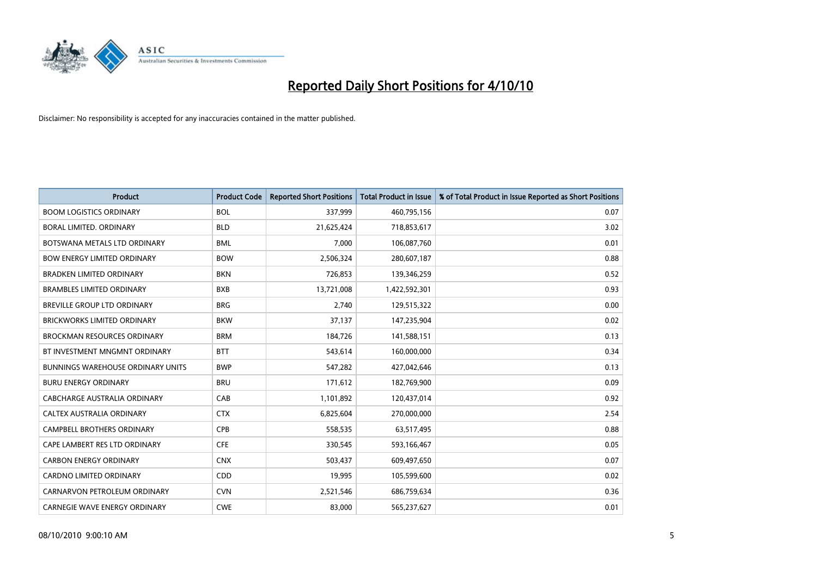

| Product                                  | <b>Product Code</b> | <b>Reported Short Positions</b> | <b>Total Product in Issue</b> | % of Total Product in Issue Reported as Short Positions |
|------------------------------------------|---------------------|---------------------------------|-------------------------------|---------------------------------------------------------|
| <b>BOOM LOGISTICS ORDINARY</b>           | <b>BOL</b>          | 337,999                         | 460,795,156                   | 0.07                                                    |
| BORAL LIMITED. ORDINARY                  | <b>BLD</b>          | 21,625,424                      | 718,853,617                   | 3.02                                                    |
| BOTSWANA METALS LTD ORDINARY             | <b>BML</b>          | 7,000                           | 106,087,760                   | 0.01                                                    |
| <b>BOW ENERGY LIMITED ORDINARY</b>       | <b>BOW</b>          | 2,506,324                       | 280,607,187                   | 0.88                                                    |
| <b>BRADKEN LIMITED ORDINARY</b>          | <b>BKN</b>          | 726,853                         | 139,346,259                   | 0.52                                                    |
| <b>BRAMBLES LIMITED ORDINARY</b>         | <b>BXB</b>          | 13,721,008                      | 1,422,592,301                 | 0.93                                                    |
| BREVILLE GROUP LTD ORDINARY              | <b>BRG</b>          | 2,740                           | 129,515,322                   | 0.00                                                    |
| <b>BRICKWORKS LIMITED ORDINARY</b>       | <b>BKW</b>          | 37,137                          | 147,235,904                   | 0.02                                                    |
| BROCKMAN RESOURCES ORDINARY              | <b>BRM</b>          | 184,726                         | 141,588,151                   | 0.13                                                    |
| BT INVESTMENT MNGMNT ORDINARY            | <b>BTT</b>          | 543,614                         | 160,000,000                   | 0.34                                                    |
| <b>BUNNINGS WAREHOUSE ORDINARY UNITS</b> | <b>BWP</b>          | 547,282                         | 427,042,646                   | 0.13                                                    |
| <b>BURU ENERGY ORDINARY</b>              | <b>BRU</b>          | 171,612                         | 182,769,900                   | 0.09                                                    |
| <b>CABCHARGE AUSTRALIA ORDINARY</b>      | CAB                 | 1,101,892                       | 120,437,014                   | 0.92                                                    |
| <b>CALTEX AUSTRALIA ORDINARY</b>         | <b>CTX</b>          | 6,825,604                       | 270,000,000                   | 2.54                                                    |
| <b>CAMPBELL BROTHERS ORDINARY</b>        | <b>CPB</b>          | 558,535                         | 63,517,495                    | 0.88                                                    |
| CAPE LAMBERT RES LTD ORDINARY            | <b>CFE</b>          | 330,545                         | 593,166,467                   | 0.05                                                    |
| <b>CARBON ENERGY ORDINARY</b>            | <b>CNX</b>          | 503,437                         | 609,497,650                   | 0.07                                                    |
| CARDNO LIMITED ORDINARY                  | CDD                 | 19,995                          | 105,599,600                   | 0.02                                                    |
| CARNARVON PETROLEUM ORDINARY             | <b>CVN</b>          | 2,521,546                       | 686,759,634                   | 0.36                                                    |
| <b>CARNEGIE WAVE ENERGY ORDINARY</b>     | <b>CWE</b>          | 83,000                          | 565,237,627                   | 0.01                                                    |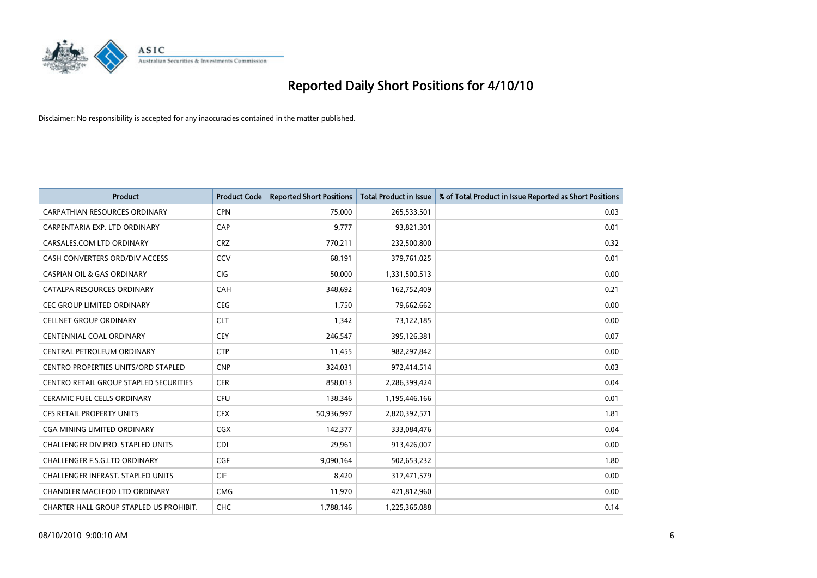

| <b>Product</b>                                | <b>Product Code</b> | <b>Reported Short Positions</b> | Total Product in Issue | % of Total Product in Issue Reported as Short Positions |
|-----------------------------------------------|---------------------|---------------------------------|------------------------|---------------------------------------------------------|
| <b>CARPATHIAN RESOURCES ORDINARY</b>          | <b>CPN</b>          | 75,000                          | 265,533,501            | 0.03                                                    |
| CARPENTARIA EXP. LTD ORDINARY                 | CAP                 | 9.777                           | 93,821,301             | 0.01                                                    |
| CARSALES.COM LTD ORDINARY                     | <b>CRZ</b>          | 770,211                         | 232,500,800            | 0.32                                                    |
| CASH CONVERTERS ORD/DIV ACCESS                | CCV                 | 68,191                          | 379,761,025            | 0.01                                                    |
| <b>CASPIAN OIL &amp; GAS ORDINARY</b>         | <b>CIG</b>          | 50.000                          | 1,331,500,513          | 0.00                                                    |
| CATALPA RESOURCES ORDINARY                    | CAH                 | 348,692                         | 162,752,409            | 0.21                                                    |
| <b>CEC GROUP LIMITED ORDINARY</b>             | <b>CEG</b>          | 1.750                           | 79,662,662             | 0.00                                                    |
| <b>CELLNET GROUP ORDINARY</b>                 | <b>CLT</b>          | 1,342                           | 73,122,185             | 0.00                                                    |
| <b>CENTENNIAL COAL ORDINARY</b>               | <b>CEY</b>          | 246,547                         | 395,126,381            | 0.07                                                    |
| CENTRAL PETROLEUM ORDINARY                    | <b>CTP</b>          | 11,455                          | 982,297,842            | 0.00                                                    |
| <b>CENTRO PROPERTIES UNITS/ORD STAPLED</b>    | <b>CNP</b>          | 324,031                         | 972,414,514            | 0.03                                                    |
| <b>CENTRO RETAIL GROUP STAPLED SECURITIES</b> | <b>CER</b>          | 858,013                         | 2,286,399,424          | 0.04                                                    |
| <b>CERAMIC FUEL CELLS ORDINARY</b>            | <b>CFU</b>          | 138,346                         | 1,195,446,166          | 0.01                                                    |
| <b>CFS RETAIL PROPERTY UNITS</b>              | <b>CFX</b>          | 50,936,997                      | 2,820,392,571          | 1.81                                                    |
| CGA MINING LIMITED ORDINARY                   | <b>CGX</b>          | 142,377                         | 333,084,476            | 0.04                                                    |
| <b>CHALLENGER DIV.PRO. STAPLED UNITS</b>      | <b>CDI</b>          | 29,961                          | 913,426,007            | 0.00                                                    |
| <b>CHALLENGER F.S.G.LTD ORDINARY</b>          | <b>CGF</b>          | 9,090,164                       | 502,653,232            | 1.80                                                    |
| CHALLENGER INFRAST. STAPLED UNITS             | <b>CIF</b>          | 8,420                           | 317,471,579            | 0.00                                                    |
| <b>CHANDLER MACLEOD LTD ORDINARY</b>          | <b>CMG</b>          | 11,970                          | 421,812,960            | 0.00                                                    |
| CHARTER HALL GROUP STAPLED US PROHIBIT.       | <b>CHC</b>          | 1,788,146                       | 1,225,365,088          | 0.14                                                    |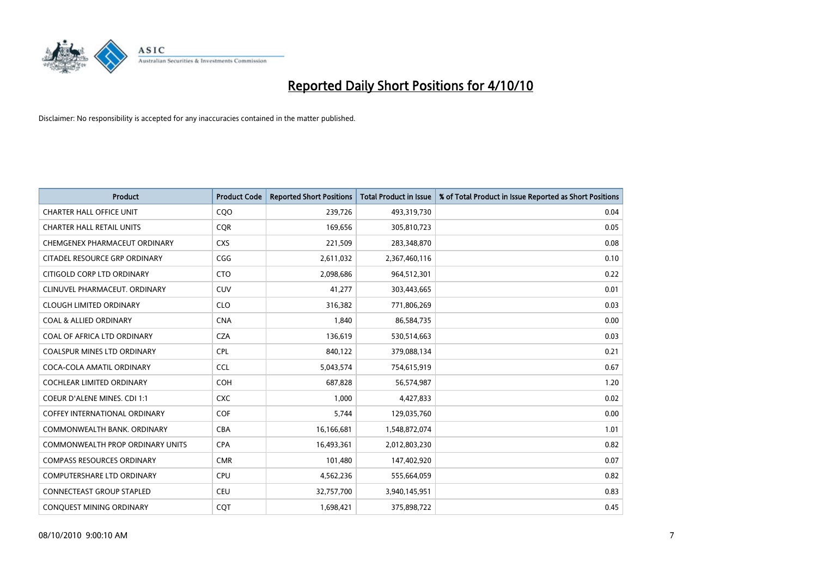

| Product                                 | <b>Product Code</b> | <b>Reported Short Positions</b> | <b>Total Product in Issue</b> | % of Total Product in Issue Reported as Short Positions |
|-----------------------------------------|---------------------|---------------------------------|-------------------------------|---------------------------------------------------------|
| <b>CHARTER HALL OFFICE UNIT</b>         | CQO                 | 239,726                         | 493,319,730                   | 0.04                                                    |
| <b>CHARTER HALL RETAIL UNITS</b>        | <b>COR</b>          | 169,656                         | 305,810,723                   | 0.05                                                    |
| CHEMGENEX PHARMACEUT ORDINARY           | <b>CXS</b>          | 221,509                         | 283,348,870                   | 0.08                                                    |
| CITADEL RESOURCE GRP ORDINARY           | CGG                 | 2,611,032                       | 2,367,460,116                 | 0.10                                                    |
| CITIGOLD CORP LTD ORDINARY              | <b>CTO</b>          | 2,098,686                       | 964,512,301                   | 0.22                                                    |
| CLINUVEL PHARMACEUT, ORDINARY           | CUV                 | 41,277                          | 303,443,665                   | 0.01                                                    |
| <b>CLOUGH LIMITED ORDINARY</b>          | <b>CLO</b>          | 316,382                         | 771,806,269                   | 0.03                                                    |
| <b>COAL &amp; ALLIED ORDINARY</b>       | <b>CNA</b>          | 1,840                           | 86,584,735                    | 0.00                                                    |
| COAL OF AFRICA LTD ORDINARY             | <b>CZA</b>          | 136,619                         | 530,514,663                   | 0.03                                                    |
| <b>COALSPUR MINES LTD ORDINARY</b>      | <b>CPL</b>          | 840,122                         | 379,088,134                   | 0.21                                                    |
| COCA-COLA AMATIL ORDINARY               | <b>CCL</b>          | 5,043,574                       | 754,615,919                   | 0.67                                                    |
| COCHLEAR LIMITED ORDINARY               | <b>COH</b>          | 687,828                         | 56,574,987                    | 1.20                                                    |
| <b>COEUR D'ALENE MINES. CDI 1:1</b>     | <b>CXC</b>          | 1,000                           | 4,427,833                     | 0.02                                                    |
| <b>COFFEY INTERNATIONAL ORDINARY</b>    | <b>COF</b>          | 5,744                           | 129,035,760                   | 0.00                                                    |
| COMMONWEALTH BANK, ORDINARY             | <b>CBA</b>          | 16,166,681                      | 1,548,872,074                 | 1.01                                                    |
| <b>COMMONWEALTH PROP ORDINARY UNITS</b> | <b>CPA</b>          | 16,493,361                      | 2,012,803,230                 | 0.82                                                    |
| <b>COMPASS RESOURCES ORDINARY</b>       | <b>CMR</b>          | 101,480                         | 147,402,920                   | 0.07                                                    |
| COMPUTERSHARE LTD ORDINARY              | <b>CPU</b>          | 4,562,236                       | 555,664,059                   | 0.82                                                    |
| <b>CONNECTEAST GROUP STAPLED</b>        | <b>CEU</b>          | 32,757,700                      | 3,940,145,951                 | 0.83                                                    |
| CONQUEST MINING ORDINARY                | <b>COT</b>          | 1,698,421                       | 375,898,722                   | 0.45                                                    |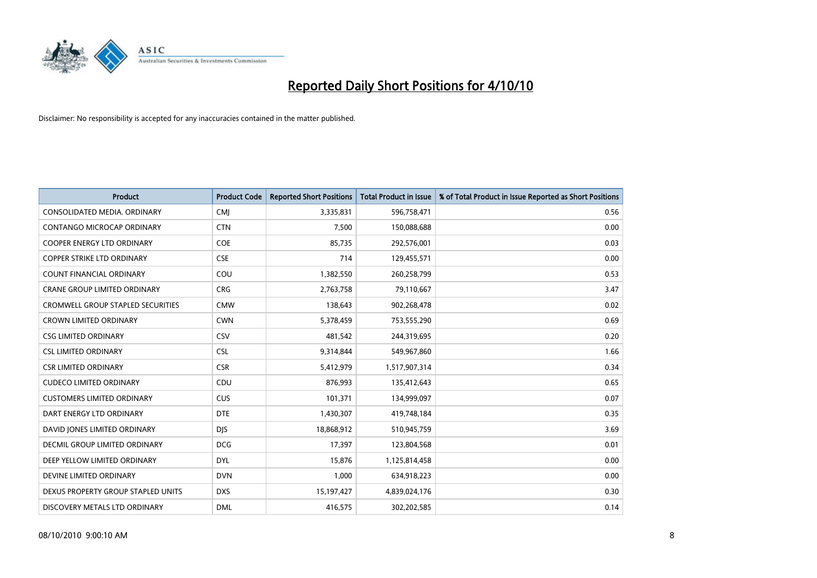

| <b>Product</b>                           | <b>Product Code</b> | <b>Reported Short Positions</b> | <b>Total Product in Issue</b> | % of Total Product in Issue Reported as Short Positions |
|------------------------------------------|---------------------|---------------------------------|-------------------------------|---------------------------------------------------------|
| CONSOLIDATED MEDIA, ORDINARY             | <b>CMJ</b>          | 3,335,831                       | 596,758,471                   | 0.56                                                    |
| CONTANGO MICROCAP ORDINARY               | <b>CTN</b>          | 7,500                           | 150,088,688                   | 0.00                                                    |
| <b>COOPER ENERGY LTD ORDINARY</b>        | <b>COE</b>          | 85,735                          | 292,576,001                   | 0.03                                                    |
| COPPER STRIKE LTD ORDINARY               | <b>CSE</b>          | 714                             | 129,455,571                   | 0.00                                                    |
| <b>COUNT FINANCIAL ORDINARY</b>          | COU                 | 1,382,550                       | 260,258,799                   | 0.53                                                    |
| <b>CRANE GROUP LIMITED ORDINARY</b>      | <b>CRG</b>          | 2,763,758                       | 79,110,667                    | 3.47                                                    |
| <b>CROMWELL GROUP STAPLED SECURITIES</b> | <b>CMW</b>          | 138,643                         | 902,268,478                   | 0.02                                                    |
| <b>CROWN LIMITED ORDINARY</b>            | <b>CWN</b>          | 5,378,459                       | 753,555,290                   | 0.69                                                    |
| <b>CSG LIMITED ORDINARY</b>              | <b>CSV</b>          | 481,542                         | 244,319,695                   | 0.20                                                    |
| <b>CSL LIMITED ORDINARY</b>              | <b>CSL</b>          | 9,314,844                       | 549,967,860                   | 1.66                                                    |
| <b>CSR LIMITED ORDINARY</b>              | <b>CSR</b>          | 5,412,979                       | 1,517,907,314                 | 0.34                                                    |
| <b>CUDECO LIMITED ORDINARY</b>           | CDU                 | 876,993                         | 135,412,643                   | 0.65                                                    |
| <b>CUSTOMERS LIMITED ORDINARY</b>        | <b>CUS</b>          | 101,371                         | 134,999,097                   | 0.07                                                    |
| DART ENERGY LTD ORDINARY                 | <b>DTE</b>          | 1,430,307                       | 419,748,184                   | 0.35                                                    |
| DAVID JONES LIMITED ORDINARY             | <b>DJS</b>          | 18,868,912                      | 510,945,759                   | 3.69                                                    |
| DECMIL GROUP LIMITED ORDINARY            | <b>DCG</b>          | 17,397                          | 123,804,568                   | 0.01                                                    |
| DEEP YELLOW LIMITED ORDINARY             | <b>DYL</b>          | 15,876                          | 1,125,814,458                 | 0.00                                                    |
| DEVINE LIMITED ORDINARY                  | <b>DVN</b>          | 1,000                           | 634,918,223                   | 0.00                                                    |
| DEXUS PROPERTY GROUP STAPLED UNITS       | <b>DXS</b>          | 15,197,427                      | 4,839,024,176                 | 0.30                                                    |
| DISCOVERY METALS LTD ORDINARY            | <b>DML</b>          | 416,575                         | 302,202,585                   | 0.14                                                    |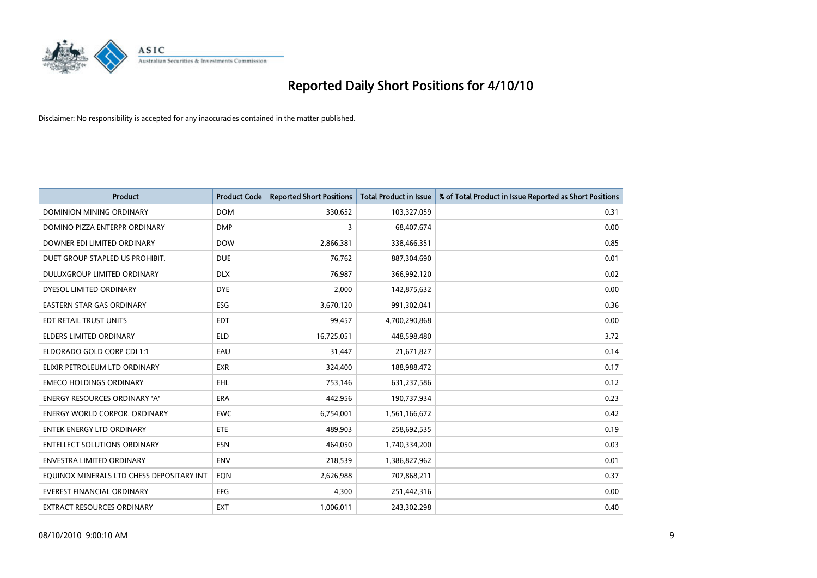

| <b>Product</b>                            | <b>Product Code</b> | <b>Reported Short Positions</b> | <b>Total Product in Issue</b> | % of Total Product in Issue Reported as Short Positions |
|-------------------------------------------|---------------------|---------------------------------|-------------------------------|---------------------------------------------------------|
| <b>DOMINION MINING ORDINARY</b>           | <b>DOM</b>          | 330,652                         | 103,327,059                   | 0.31                                                    |
| DOMINO PIZZA ENTERPR ORDINARY             | <b>DMP</b>          | 3                               | 68,407,674                    | 0.00                                                    |
| DOWNER EDI LIMITED ORDINARY               | <b>DOW</b>          | 2,866,381                       | 338,466,351                   | 0.85                                                    |
| DUET GROUP STAPLED US PROHIBIT.           | <b>DUE</b>          | 76,762                          | 887,304,690                   | 0.01                                                    |
| DULUXGROUP LIMITED ORDINARY               | <b>DLX</b>          | 76,987                          | 366,992,120                   | 0.02                                                    |
| DYESOL LIMITED ORDINARY                   | <b>DYE</b>          | 2,000                           | 142,875,632                   | 0.00                                                    |
| <b>EASTERN STAR GAS ORDINARY</b>          | ESG                 | 3,670,120                       | 991,302,041                   | 0.36                                                    |
| EDT RETAIL TRUST UNITS                    | <b>EDT</b>          | 99,457                          | 4,700,290,868                 | 0.00                                                    |
| ELDERS LIMITED ORDINARY                   | <b>ELD</b>          | 16,725,051                      | 448,598,480                   | 3.72                                                    |
| ELDORADO GOLD CORP CDI 1:1                | EAU                 | 31,447                          | 21,671,827                    | 0.14                                                    |
| ELIXIR PETROLEUM LTD ORDINARY             | <b>EXR</b>          | 324,400                         | 188,988,472                   | 0.17                                                    |
| <b>EMECO HOLDINGS ORDINARY</b>            | <b>EHL</b>          | 753,146                         | 631,237,586                   | 0.12                                                    |
| <b>ENERGY RESOURCES ORDINARY 'A'</b>      | <b>ERA</b>          | 442,956                         | 190,737,934                   | 0.23                                                    |
| <b>ENERGY WORLD CORPOR, ORDINARY</b>      | <b>EWC</b>          | 6,754,001                       | 1,561,166,672                 | 0.42                                                    |
| <b>ENTEK ENERGY LTD ORDINARY</b>          | <b>ETE</b>          | 489,903                         | 258,692,535                   | 0.19                                                    |
| <b>ENTELLECT SOLUTIONS ORDINARY</b>       | <b>ESN</b>          | 464,050                         | 1,740,334,200                 | 0.03                                                    |
| <b>ENVESTRA LIMITED ORDINARY</b>          | <b>ENV</b>          | 218,539                         | 1,386,827,962                 | 0.01                                                    |
| EQUINOX MINERALS LTD CHESS DEPOSITARY INT | EQN                 | 2,626,988                       | 707,868,211                   | 0.37                                                    |
| <b>EVEREST FINANCIAL ORDINARY</b>         | <b>EFG</b>          | 4,300                           | 251,442,316                   | 0.00                                                    |
| <b>EXTRACT RESOURCES ORDINARY</b>         | <b>EXT</b>          | 1,006,011                       | 243,302,298                   | 0.40                                                    |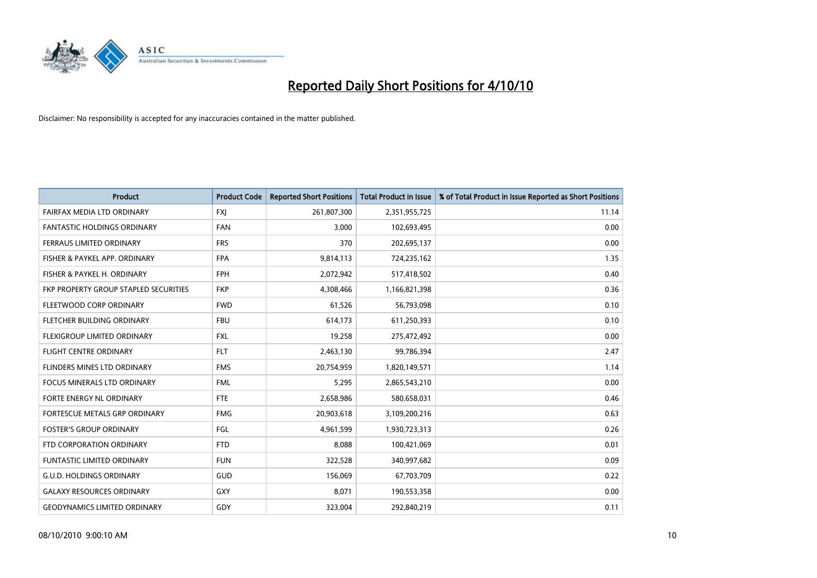

| Product                               | <b>Product Code</b> | <b>Reported Short Positions</b> | Total Product in Issue | % of Total Product in Issue Reported as Short Positions |
|---------------------------------------|---------------------|---------------------------------|------------------------|---------------------------------------------------------|
| FAIRFAX MEDIA LTD ORDINARY            | <b>FXI</b>          | 261,807,300                     | 2,351,955,725          | 11.14                                                   |
| <b>FANTASTIC HOLDINGS ORDINARY</b>    | <b>FAN</b>          | 3,000                           | 102,693,495            | 0.00                                                    |
| FERRAUS LIMITED ORDINARY              | <b>FRS</b>          | 370                             | 202,695,137            | 0.00                                                    |
| FISHER & PAYKEL APP. ORDINARY         | <b>FPA</b>          | 9,814,113                       | 724,235,162            | 1.35                                                    |
| FISHER & PAYKEL H. ORDINARY           | <b>FPH</b>          | 2,072,942                       | 517,418,502            | 0.40                                                    |
| FKP PROPERTY GROUP STAPLED SECURITIES | <b>FKP</b>          | 4,308,466                       | 1,166,821,398          | 0.36                                                    |
| FLEETWOOD CORP ORDINARY               | <b>FWD</b>          | 61,526                          | 56,793,098             | 0.10                                                    |
| FLETCHER BUILDING ORDINARY            | <b>FBU</b>          | 614,173                         | 611,250,393            | 0.10                                                    |
| FLEXIGROUP LIMITED ORDINARY           | <b>FXL</b>          | 19,258                          | 275,472,492            | 0.00                                                    |
| <b>FLIGHT CENTRE ORDINARY</b>         | <b>FLT</b>          | 2,463,130                       | 99,786,394             | 2.47                                                    |
| FLINDERS MINES LTD ORDINARY           | <b>FMS</b>          | 20,754,959                      | 1,820,149,571          | 1.14                                                    |
| <b>FOCUS MINERALS LTD ORDINARY</b>    | <b>FML</b>          | 5,295                           | 2,865,543,210          | 0.00                                                    |
| FORTE ENERGY NL ORDINARY              | <b>FTE</b>          | 2,658,986                       | 580,658,031            | 0.46                                                    |
| FORTESCUE METALS GRP ORDINARY         | <b>FMG</b>          | 20,903,618                      | 3,109,200,216          | 0.63                                                    |
| <b>FOSTER'S GROUP ORDINARY</b>        | <b>FGL</b>          | 4,961,599                       | 1,930,723,313          | 0.26                                                    |
| FTD CORPORATION ORDINARY              | <b>FTD</b>          | 8,088                           | 100,421,069            | 0.01                                                    |
| <b>FUNTASTIC LIMITED ORDINARY</b>     | <b>FUN</b>          | 322,528                         | 340,997,682            | 0.09                                                    |
| <b>G.U.D. HOLDINGS ORDINARY</b>       | GUD                 | 156,069                         | 67,703,709             | 0.22                                                    |
| <b>GALAXY RESOURCES ORDINARY</b>      | GXY                 | 8,071                           | 190,553,358            | 0.00                                                    |
| <b>GEODYNAMICS LIMITED ORDINARY</b>   | GDY                 | 323,004                         | 292,840,219            | 0.11                                                    |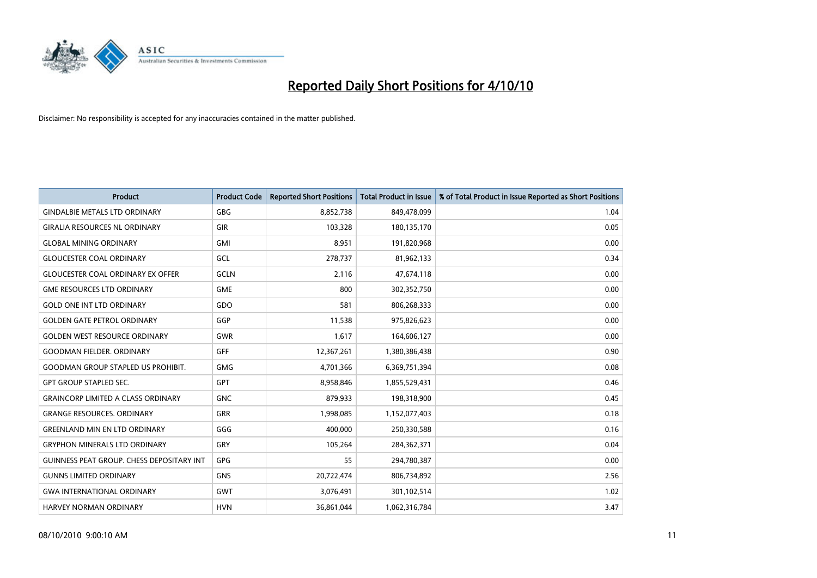

| <b>Product</b>                                   | <b>Product Code</b> | <b>Reported Short Positions</b> | <b>Total Product in Issue</b> | % of Total Product in Issue Reported as Short Positions |
|--------------------------------------------------|---------------------|---------------------------------|-------------------------------|---------------------------------------------------------|
| <b>GINDALBIE METALS LTD ORDINARY</b>             | <b>GBG</b>          | 8,852,738                       | 849,478,099                   | 1.04                                                    |
| <b>GIRALIA RESOURCES NL ORDINARY</b>             | GIR                 | 103,328                         | 180,135,170                   | 0.05                                                    |
| <b>GLOBAL MINING ORDINARY</b>                    | <b>GMI</b>          | 8,951                           | 191,820,968                   | 0.00                                                    |
| <b>GLOUCESTER COAL ORDINARY</b>                  | GCL                 | 278,737                         | 81,962,133                    | 0.34                                                    |
| <b>GLOUCESTER COAL ORDINARY EX OFFER</b>         | <b>GCLN</b>         | 2,116                           | 47,674,118                    | 0.00                                                    |
| <b>GME RESOURCES LTD ORDINARY</b>                | <b>GME</b>          | 800                             | 302,352,750                   | 0.00                                                    |
| <b>GOLD ONE INT LTD ORDINARY</b>                 | GDO                 | 581                             | 806,268,333                   | 0.00                                                    |
| <b>GOLDEN GATE PETROL ORDINARY</b>               | GGP                 | 11,538                          | 975,826,623                   | 0.00                                                    |
| <b>GOLDEN WEST RESOURCE ORDINARY</b>             | <b>GWR</b>          | 1,617                           | 164,606,127                   | 0.00                                                    |
| <b>GOODMAN FIELDER, ORDINARY</b>                 | <b>GFF</b>          | 12,367,261                      | 1,380,386,438                 | 0.90                                                    |
| <b>GOODMAN GROUP STAPLED US PROHIBIT.</b>        | <b>GMG</b>          | 4,701,366                       | 6,369,751,394                 | 0.08                                                    |
| <b>GPT GROUP STAPLED SEC.</b>                    | GPT                 | 8,958,846                       | 1,855,529,431                 | 0.46                                                    |
| <b>GRAINCORP LIMITED A CLASS ORDINARY</b>        | <b>GNC</b>          | 879,933                         | 198,318,900                   | 0.45                                                    |
| <b>GRANGE RESOURCES, ORDINARY</b>                | <b>GRR</b>          | 1,998,085                       | 1,152,077,403                 | 0.18                                                    |
| <b>GREENLAND MIN EN LTD ORDINARY</b>             | GGG                 | 400,000                         | 250,330,588                   | 0.16                                                    |
| <b>GRYPHON MINERALS LTD ORDINARY</b>             | GRY                 | 105,264                         | 284,362,371                   | 0.04                                                    |
| <b>GUINNESS PEAT GROUP. CHESS DEPOSITARY INT</b> | <b>GPG</b>          | 55                              | 294,780,387                   | 0.00                                                    |
| <b>GUNNS LIMITED ORDINARY</b>                    | <b>GNS</b>          | 20,722,474                      | 806,734,892                   | 2.56                                                    |
| <b>GWA INTERNATIONAL ORDINARY</b>                | <b>GWT</b>          | 3,076,491                       | 301,102,514                   | 1.02                                                    |
| <b>HARVEY NORMAN ORDINARY</b>                    | <b>HVN</b>          | 36,861,044                      | 1,062,316,784                 | 3.47                                                    |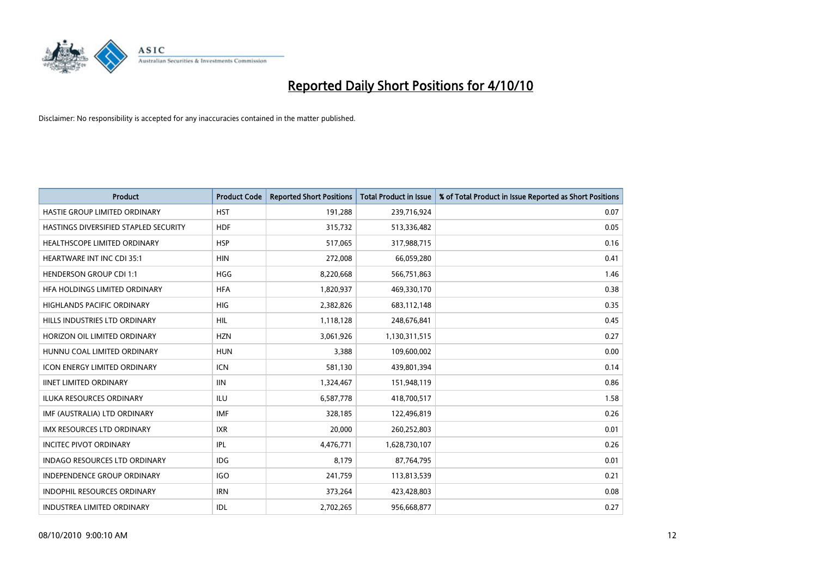

| <b>Product</b>                        | <b>Product Code</b> | <b>Reported Short Positions</b> | Total Product in Issue | % of Total Product in Issue Reported as Short Positions |
|---------------------------------------|---------------------|---------------------------------|------------------------|---------------------------------------------------------|
| HASTIE GROUP LIMITED ORDINARY         | <b>HST</b>          | 191,288                         | 239,716,924            | 0.07                                                    |
| HASTINGS DIVERSIFIED STAPLED SECURITY | <b>HDF</b>          | 315,732                         | 513,336,482            | 0.05                                                    |
| <b>HEALTHSCOPE LIMITED ORDINARY</b>   | <b>HSP</b>          | 517,065                         | 317,988,715            | 0.16                                                    |
| HEARTWARE INT INC CDI 35:1            | <b>HIN</b>          | 272,008                         | 66,059,280             | 0.41                                                    |
| <b>HENDERSON GROUP CDI 1:1</b>        | <b>HGG</b>          | 8,220,668                       | 566,751,863            | 1.46                                                    |
| HFA HOLDINGS LIMITED ORDINARY         | <b>HFA</b>          | 1,820,937                       | 469,330,170            | 0.38                                                    |
| <b>HIGHLANDS PACIFIC ORDINARY</b>     | HIG                 | 2,382,826                       | 683,112,148            | 0.35                                                    |
| HILLS INDUSTRIES LTD ORDINARY         | <b>HIL</b>          | 1,118,128                       | 248,676,841            | 0.45                                                    |
| HORIZON OIL LIMITED ORDINARY          | <b>HZN</b>          | 3,061,926                       | 1,130,311,515          | 0.27                                                    |
| HUNNU COAL LIMITED ORDINARY           | <b>HUN</b>          | 3,388                           | 109,600,002            | 0.00                                                    |
| <b>ICON ENERGY LIMITED ORDINARY</b>   | <b>ICN</b>          | 581,130                         | 439,801,394            | 0.14                                                    |
| <b>IINET LIMITED ORDINARY</b>         | <b>IIN</b>          | 1,324,467                       | 151,948,119            | 0.86                                                    |
| <b>ILUKA RESOURCES ORDINARY</b>       | ILU                 | 6,587,778                       | 418,700,517            | 1.58                                                    |
| IMF (AUSTRALIA) LTD ORDINARY          | <b>IMF</b>          | 328.185                         | 122,496,819            | 0.26                                                    |
| <b>IMX RESOURCES LTD ORDINARY</b>     | <b>IXR</b>          | 20,000                          | 260,252,803            | 0.01                                                    |
| <b>INCITEC PIVOT ORDINARY</b>         | <b>IPL</b>          | 4,476,771                       | 1,628,730,107          | 0.26                                                    |
| <b>INDAGO RESOURCES LTD ORDINARY</b>  | <b>IDG</b>          | 8,179                           | 87,764,795             | 0.01                                                    |
| INDEPENDENCE GROUP ORDINARY           | <b>IGO</b>          | 241,759                         | 113,813,539            | 0.21                                                    |
| <b>INDOPHIL RESOURCES ORDINARY</b>    | <b>IRN</b>          | 373,264                         | 423,428,803            | 0.08                                                    |
| INDUSTREA LIMITED ORDINARY            | IDL                 | 2,702,265                       | 956,668,877            | 0.27                                                    |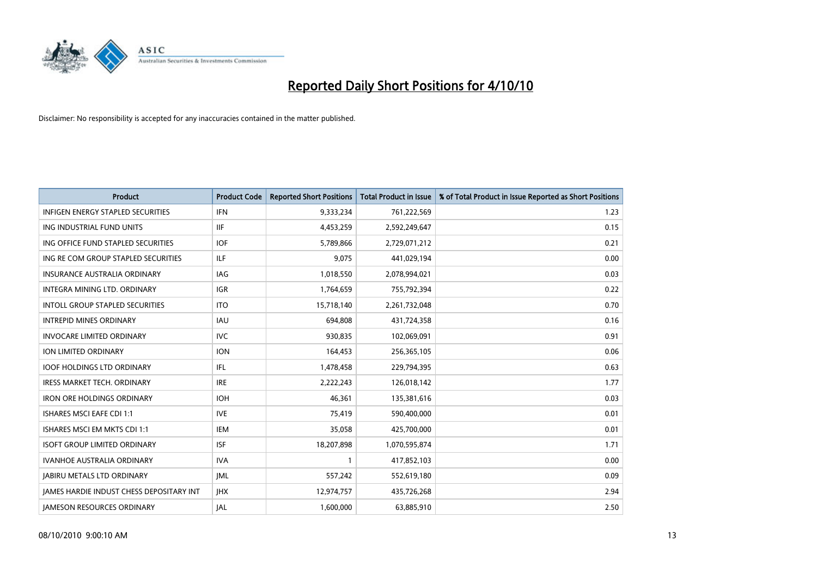

| <b>Product</b>                                  | <b>Product Code</b> | <b>Reported Short Positions</b> | Total Product in Issue | % of Total Product in Issue Reported as Short Positions |
|-------------------------------------------------|---------------------|---------------------------------|------------------------|---------------------------------------------------------|
| <b>INFIGEN ENERGY STAPLED SECURITIES</b>        | <b>IFN</b>          | 9,333,234                       | 761,222,569            | 1.23                                                    |
| ING INDUSTRIAL FUND UNITS                       | <b>IIF</b>          | 4,453,259                       | 2,592,249,647          | 0.15                                                    |
| ING OFFICE FUND STAPLED SECURITIES              | <b>IOF</b>          | 5,789,866                       | 2,729,071,212          | 0.21                                                    |
| ING RE COM GROUP STAPLED SECURITIES             | <b>ILF</b>          | 9,075                           | 441,029,194            | 0.00                                                    |
| <b>INSURANCE AUSTRALIA ORDINARY</b>             | IAG                 | 1,018,550                       | 2,078,994,021          | 0.03                                                    |
| INTEGRA MINING LTD. ORDINARY                    | <b>IGR</b>          | 1,764,659                       | 755,792,394            | 0.22                                                    |
| <b>INTOLL GROUP STAPLED SECURITIES</b>          | <b>ITO</b>          | 15,718,140                      | 2,261,732,048          | 0.70                                                    |
| <b>INTREPID MINES ORDINARY</b>                  | <b>IAU</b>          | 694,808                         | 431,724,358            | 0.16                                                    |
| <b>INVOCARE LIMITED ORDINARY</b>                | <b>IVC</b>          | 930,835                         | 102,069,091            | 0.91                                                    |
| <b>ION LIMITED ORDINARY</b>                     | <b>ION</b>          | 164,453                         | 256,365,105            | 0.06                                                    |
| <b>IOOF HOLDINGS LTD ORDINARY</b>               | IFL.                | 1,478,458                       | 229,794,395            | 0.63                                                    |
| <b>IRESS MARKET TECH. ORDINARY</b>              | <b>IRE</b>          | 2,222,243                       | 126,018,142            | 1.77                                                    |
| <b>IRON ORE HOLDINGS ORDINARY</b>               | <b>IOH</b>          | 46.361                          | 135,381,616            | 0.03                                                    |
| <b>ISHARES MSCI EAFE CDI 1:1</b>                | <b>IVE</b>          | 75.419                          | 590,400,000            | 0.01                                                    |
| <b>ISHARES MSCI EM MKTS CDI 1:1</b>             | <b>IEM</b>          | 35,058                          | 425,700,000            | 0.01                                                    |
| <b>ISOFT GROUP LIMITED ORDINARY</b>             | <b>ISF</b>          | 18,207,898                      | 1,070,595,874          | 1.71                                                    |
| <b>IVANHOE AUSTRALIA ORDINARY</b>               | <b>IVA</b>          |                                 | 417,852,103            | 0.00                                                    |
| <b>JABIRU METALS LTD ORDINARY</b>               | <b>JML</b>          | 557,242                         | 552,619,180            | 0.09                                                    |
| <b>IAMES HARDIE INDUST CHESS DEPOSITARY INT</b> | <b>IHX</b>          | 12,974,757                      | 435,726,268            | 2.94                                                    |
| <b>IAMESON RESOURCES ORDINARY</b>               | <b>JAL</b>          | 1.600.000                       | 63,885,910             | 2.50                                                    |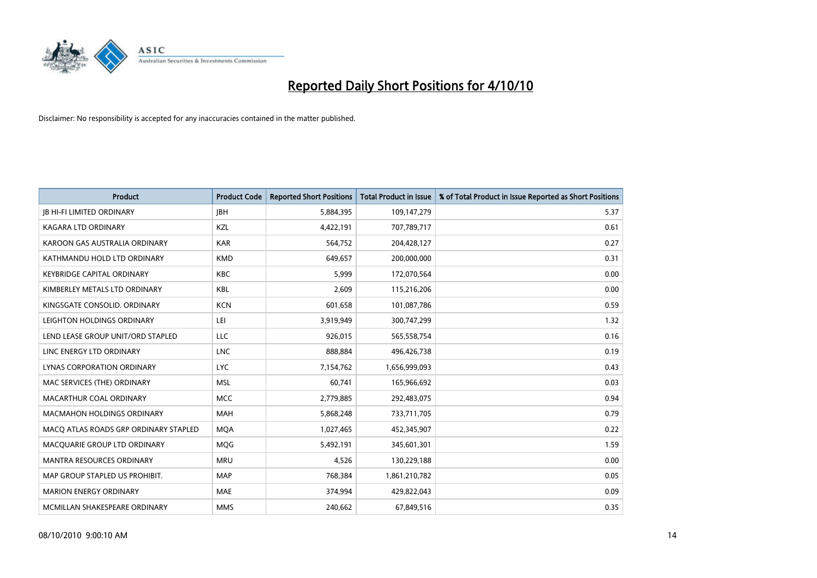

| Product                               | <b>Product Code</b> | <b>Reported Short Positions</b> | Total Product in Issue | % of Total Product in Issue Reported as Short Positions |
|---------------------------------------|---------------------|---------------------------------|------------------------|---------------------------------------------------------|
| <b>JB HI-FI LIMITED ORDINARY</b>      | <b>IBH</b>          | 5,884,395                       | 109,147,279            | 5.37                                                    |
| <b>KAGARA LTD ORDINARY</b>            | KZL                 | 4,422,191                       | 707,789,717            | 0.61                                                    |
| KAROON GAS AUSTRALIA ORDINARY         | <b>KAR</b>          | 564,752                         | 204,428,127            | 0.27                                                    |
| KATHMANDU HOLD LTD ORDINARY           | <b>KMD</b>          | 649,657                         | 200,000,000            | 0.31                                                    |
| <b>KEYBRIDGE CAPITAL ORDINARY</b>     | <b>KBC</b>          | 5,999                           | 172,070,564            | 0.00                                                    |
| KIMBERLEY METALS LTD ORDINARY         | KBL                 | 2,609                           | 115,216,206            | 0.00                                                    |
| KINGSGATE CONSOLID. ORDINARY          | <b>KCN</b>          | 601,658                         | 101,087,786            | 0.59                                                    |
| LEIGHTON HOLDINGS ORDINARY            | LEI                 | 3,919,949                       | 300,747,299            | 1.32                                                    |
| LEND LEASE GROUP UNIT/ORD STAPLED     | LLC                 | 926,015                         | 565,558,754            | 0.16                                                    |
| LINC ENERGY LTD ORDINARY              | <b>LNC</b>          | 888.884                         | 496,426,738            | 0.19                                                    |
| LYNAS CORPORATION ORDINARY            | <b>LYC</b>          | 7,154,762                       | 1,656,999,093          | 0.43                                                    |
| MAC SERVICES (THE) ORDINARY           | <b>MSL</b>          | 60,741                          | 165,966,692            | 0.03                                                    |
| MACARTHUR COAL ORDINARY               | <b>MCC</b>          | 2,779,885                       | 292,483,075            | 0.94                                                    |
| <b>MACMAHON HOLDINGS ORDINARY</b>     | <b>MAH</b>          | 5,868,248                       | 733,711,705            | 0.79                                                    |
| MACO ATLAS ROADS GRP ORDINARY STAPLED | <b>MOA</b>          | 1,027,465                       | 452,345,907            | 0.22                                                    |
| MACQUARIE GROUP LTD ORDINARY          | <b>MQG</b>          | 5,492,191                       | 345,601,301            | 1.59                                                    |
| <b>MANTRA RESOURCES ORDINARY</b>      | <b>MRU</b>          | 4,526                           | 130,229,188            | 0.00                                                    |
| MAP GROUP STAPLED US PROHIBIT.        | <b>MAP</b>          | 768,384                         | 1,861,210,782          | 0.05                                                    |
| <b>MARION ENERGY ORDINARY</b>         | <b>MAE</b>          | 374,994                         | 429,822,043            | 0.09                                                    |
| MCMILLAN SHAKESPEARE ORDINARY         | <b>MMS</b>          | 240.662                         | 67,849,516             | 0.35                                                    |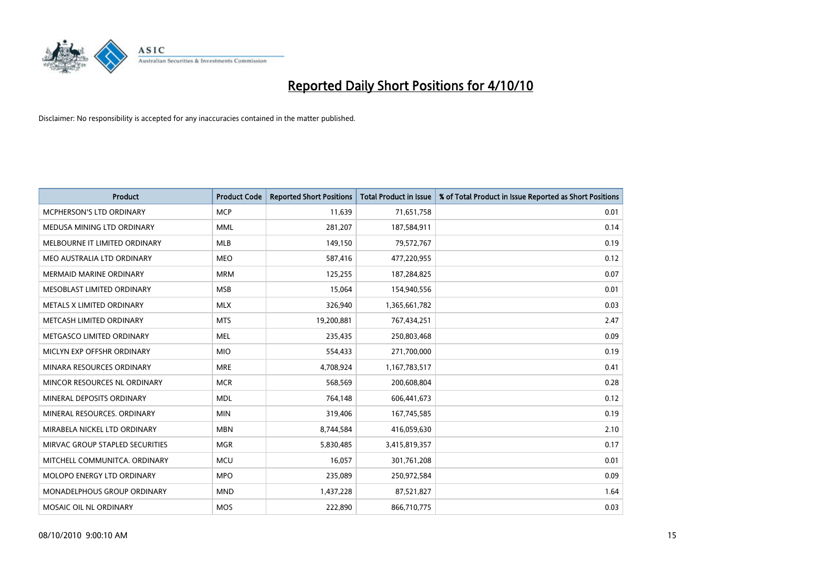

| <b>Product</b>                     | <b>Product Code</b> | <b>Reported Short Positions</b> | <b>Total Product in Issue</b> | % of Total Product in Issue Reported as Short Positions |
|------------------------------------|---------------------|---------------------------------|-------------------------------|---------------------------------------------------------|
| <b>MCPHERSON'S LTD ORDINARY</b>    | <b>MCP</b>          | 11,639                          | 71,651,758                    | 0.01                                                    |
| MEDUSA MINING LTD ORDINARY         | <b>MML</b>          | 281,207                         | 187,584,911                   | 0.14                                                    |
| MELBOURNE IT LIMITED ORDINARY      | <b>MLB</b>          | 149,150                         | 79,572,767                    | 0.19                                                    |
| MEO AUSTRALIA LTD ORDINARY         | <b>MEO</b>          | 587,416                         | 477,220,955                   | 0.12                                                    |
| <b>MERMAID MARINE ORDINARY</b>     | <b>MRM</b>          | 125,255                         | 187,284,825                   | 0.07                                                    |
| MESOBLAST LIMITED ORDINARY         | <b>MSB</b>          | 15,064                          | 154,940,556                   | 0.01                                                    |
| METALS X LIMITED ORDINARY          | <b>MLX</b>          | 326,940                         | 1,365,661,782                 | 0.03                                                    |
| METCASH LIMITED ORDINARY           | <b>MTS</b>          | 19,200,881                      | 767,434,251                   | 2.47                                                    |
| METGASCO LIMITED ORDINARY          | <b>MEL</b>          | 235,435                         | 250,803,468                   | 0.09                                                    |
| MICLYN EXP OFFSHR ORDINARY         | <b>MIO</b>          | 554,433                         | 271,700,000                   | 0.19                                                    |
| MINARA RESOURCES ORDINARY          | <b>MRE</b>          | 4,708,924                       | 1,167,783,517                 | 0.41                                                    |
| MINCOR RESOURCES NL ORDINARY       | <b>MCR</b>          | 568,569                         | 200,608,804                   | 0.28                                                    |
| MINERAL DEPOSITS ORDINARY          | <b>MDL</b>          | 764,148                         | 606,441,673                   | 0.12                                                    |
| MINERAL RESOURCES, ORDINARY        | <b>MIN</b>          | 319,406                         | 167,745,585                   | 0.19                                                    |
| MIRABELA NICKEL LTD ORDINARY       | <b>MBN</b>          | 8,744,584                       | 416,059,630                   | 2.10                                                    |
| MIRVAC GROUP STAPLED SECURITIES    | <b>MGR</b>          | 5,830,485                       | 3,415,819,357                 | 0.17                                                    |
| MITCHELL COMMUNITCA, ORDINARY      | <b>MCU</b>          | 16,057                          | 301,761,208                   | 0.01                                                    |
| MOLOPO ENERGY LTD ORDINARY         | <b>MPO</b>          | 235,089                         | 250,972,584                   | 0.09                                                    |
| <b>MONADELPHOUS GROUP ORDINARY</b> | <b>MND</b>          | 1,437,228                       | 87,521,827                    | 1.64                                                    |
| MOSAIC OIL NL ORDINARY             | <b>MOS</b>          | 222.890                         | 866,710,775                   | 0.03                                                    |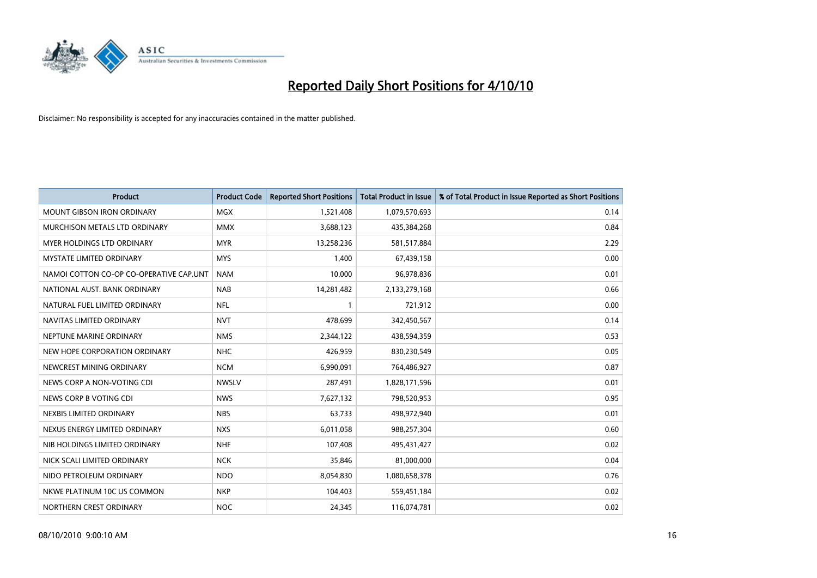

| Product                                 | <b>Product Code</b> | <b>Reported Short Positions</b> | <b>Total Product in Issue</b> | % of Total Product in Issue Reported as Short Positions |
|-----------------------------------------|---------------------|---------------------------------|-------------------------------|---------------------------------------------------------|
| <b>MOUNT GIBSON IRON ORDINARY</b>       | <b>MGX</b>          | 1,521,408                       | 1,079,570,693                 | 0.14                                                    |
| MURCHISON METALS LTD ORDINARY           | <b>MMX</b>          | 3,688,123                       | 435,384,268                   | 0.84                                                    |
| <b>MYER HOLDINGS LTD ORDINARY</b>       | <b>MYR</b>          | 13,258,236                      | 581,517,884                   | 2.29                                                    |
| <b>MYSTATE LIMITED ORDINARY</b>         | <b>MYS</b>          | 1,400                           | 67,439,158                    | 0.00                                                    |
| NAMOI COTTON CO-OP CO-OPERATIVE CAP.UNT | <b>NAM</b>          | 10,000                          | 96,978,836                    | 0.01                                                    |
| NATIONAL AUST, BANK ORDINARY            | <b>NAB</b>          | 14,281,482                      | 2,133,279,168                 | 0.66                                                    |
| NATURAL FUEL LIMITED ORDINARY           | <b>NFL</b>          |                                 | 721,912                       | 0.00                                                    |
| NAVITAS LIMITED ORDINARY                | <b>NVT</b>          | 478,699                         | 342,450,567                   | 0.14                                                    |
| NEPTUNE MARINE ORDINARY                 | <b>NMS</b>          | 2,344,122                       | 438,594,359                   | 0.53                                                    |
| NEW HOPE CORPORATION ORDINARY           | <b>NHC</b>          | 426,959                         | 830,230,549                   | 0.05                                                    |
| NEWCREST MINING ORDINARY                | <b>NCM</b>          | 6,990,091                       | 764,486,927                   | 0.87                                                    |
| NEWS CORP A NON-VOTING CDI              | <b>NWSLV</b>        | 287,491                         | 1,828,171,596                 | 0.01                                                    |
| NEWS CORP B VOTING CDI                  | <b>NWS</b>          | 7,627,132                       | 798,520,953                   | 0.95                                                    |
| NEXBIS LIMITED ORDINARY                 | <b>NBS</b>          | 63,733                          | 498,972,940                   | 0.01                                                    |
| NEXUS ENERGY LIMITED ORDINARY           | <b>NXS</b>          | 6,011,058                       | 988,257,304                   | 0.60                                                    |
| NIB HOLDINGS LIMITED ORDINARY           | <b>NHF</b>          | 107,408                         | 495,431,427                   | 0.02                                                    |
| NICK SCALI LIMITED ORDINARY             | <b>NCK</b>          | 35,846                          | 81,000,000                    | 0.04                                                    |
| NIDO PETROLEUM ORDINARY                 | <b>NDO</b>          | 8,054,830                       | 1,080,658,378                 | 0.76                                                    |
| NKWE PLATINUM 10C US COMMON             | <b>NKP</b>          | 104,403                         | 559,451,184                   | 0.02                                                    |
| NORTHERN CREST ORDINARY                 | <b>NOC</b>          | 24,345                          | 116,074,781                   | 0.02                                                    |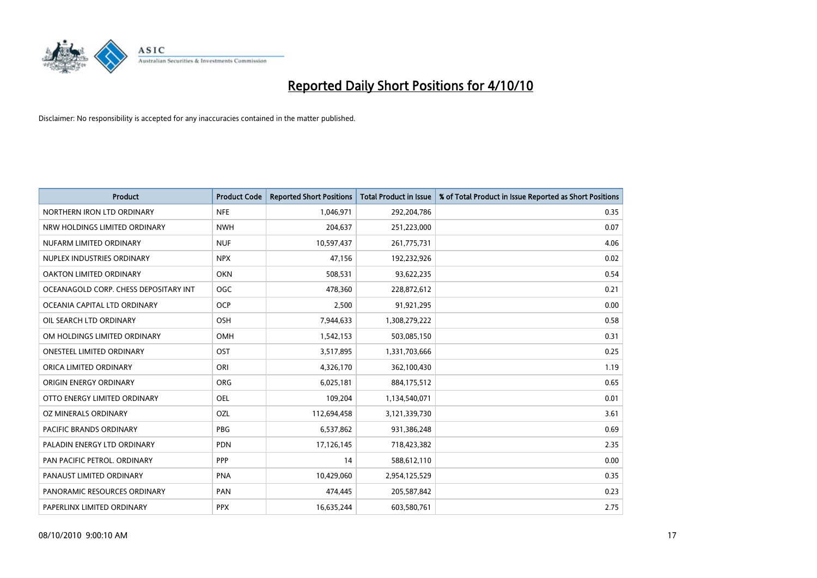

| <b>Product</b>                        | <b>Product Code</b> | <b>Reported Short Positions</b> | Total Product in Issue | % of Total Product in Issue Reported as Short Positions |
|---------------------------------------|---------------------|---------------------------------|------------------------|---------------------------------------------------------|
| NORTHERN IRON LTD ORDINARY            | <b>NFE</b>          | 1,046,971                       | 292,204,786            | 0.35                                                    |
| NRW HOLDINGS LIMITED ORDINARY         | <b>NWH</b>          | 204,637                         | 251,223,000            | 0.07                                                    |
| NUFARM LIMITED ORDINARY               | <b>NUF</b>          | 10,597,437                      | 261,775,731            | 4.06                                                    |
| NUPLEX INDUSTRIES ORDINARY            | <b>NPX</b>          | 47,156                          | 192,232,926            | 0.02                                                    |
| OAKTON LIMITED ORDINARY               | <b>OKN</b>          | 508,531                         | 93,622,235             | 0.54                                                    |
| OCEANAGOLD CORP. CHESS DEPOSITARY INT | <b>OGC</b>          | 478.360                         | 228,872,612            | 0.21                                                    |
| OCEANIA CAPITAL LTD ORDINARY          | <b>OCP</b>          | 2,500                           | 91,921,295             | 0.00                                                    |
| OIL SEARCH LTD ORDINARY               | OSH                 | 7,944,633                       | 1,308,279,222          | 0.58                                                    |
| OM HOLDINGS LIMITED ORDINARY          | OMH                 | 1,542,153                       | 503,085,150            | 0.31                                                    |
| <b>ONESTEEL LIMITED ORDINARY</b>      | OST                 | 3,517,895                       | 1,331,703,666          | 0.25                                                    |
| ORICA LIMITED ORDINARY                | ORI                 | 4,326,170                       | 362,100,430            | 1.19                                                    |
| ORIGIN ENERGY ORDINARY                | ORG                 | 6,025,181                       | 884,175,512            | 0.65                                                    |
| OTTO ENERGY LIMITED ORDINARY          | OEL                 | 109,204                         | 1,134,540,071          | 0.01                                                    |
| OZ MINERALS ORDINARY                  | OZL                 | 112,694,458                     | 3,121,339,730          | 3.61                                                    |
| <b>PACIFIC BRANDS ORDINARY</b>        | <b>PBG</b>          | 6,537,862                       | 931,386,248            | 0.69                                                    |
| PALADIN ENERGY LTD ORDINARY           | <b>PDN</b>          | 17,126,145                      | 718,423,382            | 2.35                                                    |
| PAN PACIFIC PETROL. ORDINARY          | PPP                 | 14                              | 588,612,110            | 0.00                                                    |
| PANAUST LIMITED ORDINARY              | <b>PNA</b>          | 10,429,060                      | 2,954,125,529          | 0.35                                                    |
| PANORAMIC RESOURCES ORDINARY          | PAN                 | 474,445                         | 205,587,842            | 0.23                                                    |
| PAPERLINX LIMITED ORDINARY            | <b>PPX</b>          | 16,635,244                      | 603,580,761            | 2.75                                                    |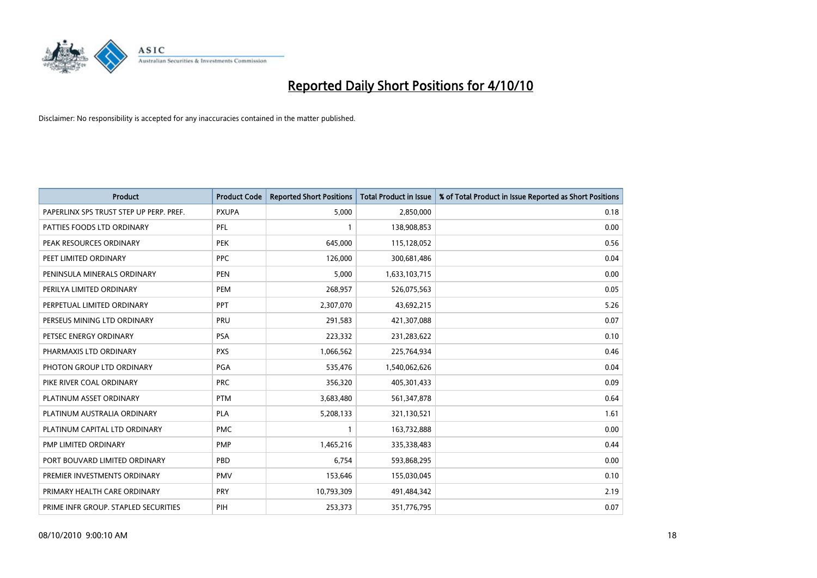

| <b>Product</b>                          | <b>Product Code</b> | <b>Reported Short Positions</b> | <b>Total Product in Issue</b> | % of Total Product in Issue Reported as Short Positions |
|-----------------------------------------|---------------------|---------------------------------|-------------------------------|---------------------------------------------------------|
| PAPERLINX SPS TRUST STEP UP PERP. PREF. | <b>PXUPA</b>        | 5,000                           | 2,850,000                     | 0.18                                                    |
| PATTIES FOODS LTD ORDINARY              | PFL                 |                                 | 138,908,853                   | 0.00                                                    |
| PEAK RESOURCES ORDINARY                 | <b>PEK</b>          | 645,000                         | 115,128,052                   | 0.56                                                    |
| PEET LIMITED ORDINARY                   | <b>PPC</b>          | 126,000                         | 300,681,486                   | 0.04                                                    |
| PENINSULA MINERALS ORDINARY             | <b>PEN</b>          | 5,000                           | 1,633,103,715                 | 0.00                                                    |
| PERILYA LIMITED ORDINARY                | PEM                 | 268,957                         | 526,075,563                   | 0.05                                                    |
| PERPETUAL LIMITED ORDINARY              | <b>PPT</b>          | 2,307,070                       | 43,692,215                    | 5.26                                                    |
| PERSEUS MINING LTD ORDINARY             | PRU                 | 291,583                         | 421,307,088                   | 0.07                                                    |
| PETSEC ENERGY ORDINARY                  | <b>PSA</b>          | 223,332                         | 231,283,622                   | 0.10                                                    |
| PHARMAXIS LTD ORDINARY                  | <b>PXS</b>          | 1,066,562                       | 225,764,934                   | 0.46                                                    |
| PHOTON GROUP LTD ORDINARY               | PGA                 | 535,476                         | 1,540,062,626                 | 0.04                                                    |
| PIKE RIVER COAL ORDINARY                | <b>PRC</b>          | 356,320                         | 405,301,433                   | 0.09                                                    |
| PLATINUM ASSET ORDINARY                 | <b>PTM</b>          | 3,683,480                       | 561,347,878                   | 0.64                                                    |
| PLATINUM AUSTRALIA ORDINARY             | <b>PLA</b>          | 5,208,133                       | 321,130,521                   | 1.61                                                    |
| PLATINUM CAPITAL LTD ORDINARY           | <b>PMC</b>          |                                 | 163,732,888                   | 0.00                                                    |
| PMP LIMITED ORDINARY                    | <b>PMP</b>          | 1,465,216                       | 335,338,483                   | 0.44                                                    |
| PORT BOUVARD LIMITED ORDINARY           | PBD                 | 6,754                           | 593,868,295                   | 0.00                                                    |
| PREMIER INVESTMENTS ORDINARY            | <b>PMV</b>          | 153,646                         | 155,030,045                   | 0.10                                                    |
| PRIMARY HEALTH CARE ORDINARY            | <b>PRY</b>          | 10,793,309                      | 491,484,342                   | 2.19                                                    |
| PRIME INFR GROUP. STAPLED SECURITIES    | PIH                 | 253,373                         | 351,776,795                   | 0.07                                                    |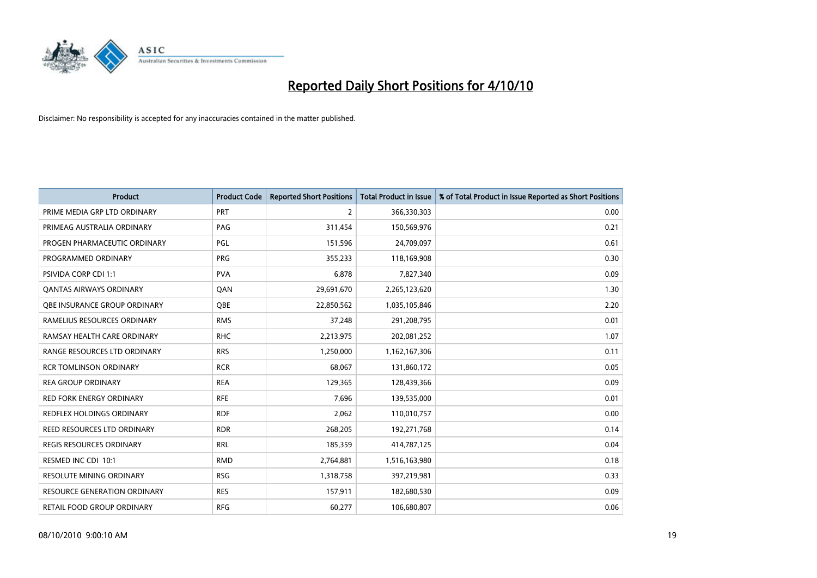

| <b>Product</b>                      | <b>Product Code</b> | <b>Reported Short Positions</b> | <b>Total Product in Issue</b> | % of Total Product in Issue Reported as Short Positions |
|-------------------------------------|---------------------|---------------------------------|-------------------------------|---------------------------------------------------------|
| PRIME MEDIA GRP LTD ORDINARY        | <b>PRT</b>          | $\overline{2}$                  | 366,330,303                   | 0.00                                                    |
| PRIMEAG AUSTRALIA ORDINARY          | PAG                 | 311,454                         | 150,569,976                   | 0.21                                                    |
| PROGEN PHARMACEUTIC ORDINARY        | PGL                 | 151,596                         | 24,709,097                    | 0.61                                                    |
| PROGRAMMED ORDINARY                 | <b>PRG</b>          | 355,233                         | 118,169,908                   | 0.30                                                    |
| <b>PSIVIDA CORP CDI 1:1</b>         | <b>PVA</b>          | 6,878                           | 7,827,340                     | 0.09                                                    |
| <b>QANTAS AIRWAYS ORDINARY</b>      | QAN                 | 29,691,670                      | 2,265,123,620                 | 1.30                                                    |
| <b>QBE INSURANCE GROUP ORDINARY</b> | <b>OBE</b>          | 22,850,562                      | 1,035,105,846                 | 2.20                                                    |
| RAMELIUS RESOURCES ORDINARY         | <b>RMS</b>          | 37,248                          | 291,208,795                   | 0.01                                                    |
| RAMSAY HEALTH CARE ORDINARY         | <b>RHC</b>          | 2,213,975                       | 202,081,252                   | 1.07                                                    |
| RANGE RESOURCES LTD ORDINARY        | <b>RRS</b>          | 1,250,000                       | 1,162,167,306                 | 0.11                                                    |
| <b>RCR TOMLINSON ORDINARY</b>       | <b>RCR</b>          | 68,067                          | 131,860,172                   | 0.05                                                    |
| <b>REA GROUP ORDINARY</b>           | <b>REA</b>          | 129,365                         | 128,439,366                   | 0.09                                                    |
| RED FORK ENERGY ORDINARY            | <b>RFE</b>          | 7,696                           | 139,535,000                   | 0.01                                                    |
| REDFLEX HOLDINGS ORDINARY           | <b>RDF</b>          | 2,062                           | 110,010,757                   | 0.00                                                    |
| <b>REED RESOURCES LTD ORDINARY</b>  | <b>RDR</b>          | 268,205                         | 192,271,768                   | 0.14                                                    |
| <b>REGIS RESOURCES ORDINARY</b>     | <b>RRL</b>          | 185,359                         | 414,787,125                   | 0.04                                                    |
| RESMED INC CDI 10:1                 | <b>RMD</b>          | 2,764,881                       | 1,516,163,980                 | 0.18                                                    |
| RESOLUTE MINING ORDINARY            | <b>RSG</b>          | 1,318,758                       | 397,219,981                   | 0.33                                                    |
| <b>RESOURCE GENERATION ORDINARY</b> | <b>RES</b>          | 157,911                         | 182,680,530                   | 0.09                                                    |
| RETAIL FOOD GROUP ORDINARY          | <b>RFG</b>          | 60,277                          | 106,680,807                   | 0.06                                                    |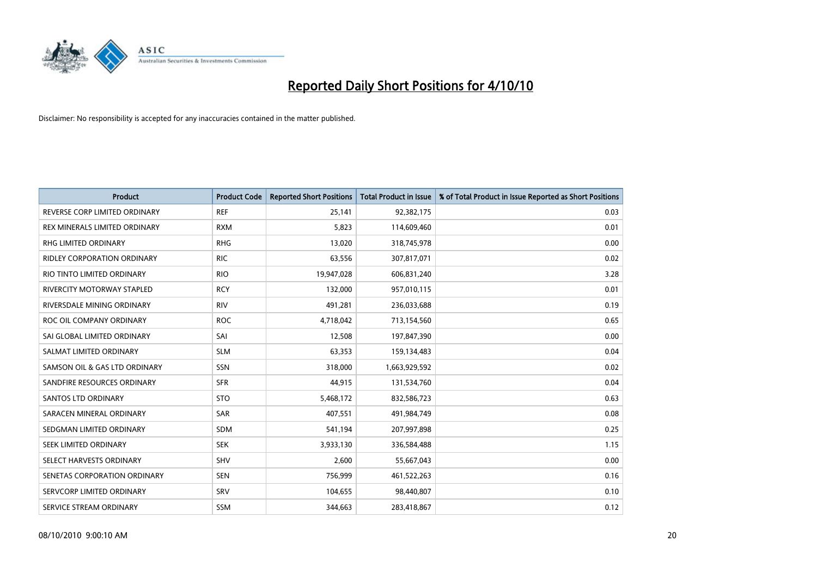

| <b>Product</b>                     | <b>Product Code</b> | <b>Reported Short Positions</b> | Total Product in Issue | % of Total Product in Issue Reported as Short Positions |
|------------------------------------|---------------------|---------------------------------|------------------------|---------------------------------------------------------|
| REVERSE CORP LIMITED ORDINARY      | <b>REF</b>          | 25,141                          | 92,382,175             | 0.03                                                    |
| REX MINERALS LIMITED ORDINARY      | <b>RXM</b>          | 5,823                           | 114,609,460            | 0.01                                                    |
| RHG LIMITED ORDINARY               | <b>RHG</b>          | 13,020                          | 318,745,978            | 0.00                                                    |
| <b>RIDLEY CORPORATION ORDINARY</b> | <b>RIC</b>          | 63,556                          | 307,817,071            | 0.02                                                    |
| RIO TINTO LIMITED ORDINARY         | <b>RIO</b>          | 19,947,028                      | 606,831,240            | 3.28                                                    |
| <b>RIVERCITY MOTORWAY STAPLED</b>  | <b>RCY</b>          | 132,000                         | 957,010,115            | 0.01                                                    |
| RIVERSDALE MINING ORDINARY         | <b>RIV</b>          | 491,281                         | 236,033,688            | 0.19                                                    |
| ROC OIL COMPANY ORDINARY           | <b>ROC</b>          | 4,718,042                       | 713,154,560            | 0.65                                                    |
| SAI GLOBAL LIMITED ORDINARY        | SAI                 | 12,508                          | 197,847,390            | 0.00                                                    |
| SALMAT LIMITED ORDINARY            | <b>SLM</b>          | 63,353                          | 159,134,483            | 0.04                                                    |
| SAMSON OIL & GAS LTD ORDINARY      | SSN                 | 318,000                         | 1,663,929,592          | 0.02                                                    |
| SANDFIRE RESOURCES ORDINARY        | <b>SFR</b>          | 44,915                          | 131,534,760            | 0.04                                                    |
| <b>SANTOS LTD ORDINARY</b>         | <b>STO</b>          | 5,468,172                       | 832,586,723            | 0.63                                                    |
| SARACEN MINERAL ORDINARY           | SAR                 | 407.551                         | 491,984,749            | 0.08                                                    |
| SEDGMAN LIMITED ORDINARY           | <b>SDM</b>          | 541,194                         | 207,997,898            | 0.25                                                    |
| SEEK LIMITED ORDINARY              | <b>SEK</b>          | 3,933,130                       | 336,584,488            | 1.15                                                    |
| SELECT HARVESTS ORDINARY           | SHV                 | 2,600                           | 55,667,043             | 0.00                                                    |
| SENETAS CORPORATION ORDINARY       | <b>SEN</b>          | 756,999                         | 461,522,263            | 0.16                                                    |
| SERVCORP LIMITED ORDINARY          | SRV                 | 104,655                         | 98,440,807             | 0.10                                                    |
| SERVICE STREAM ORDINARY            | <b>SSM</b>          | 344,663                         | 283,418,867            | 0.12                                                    |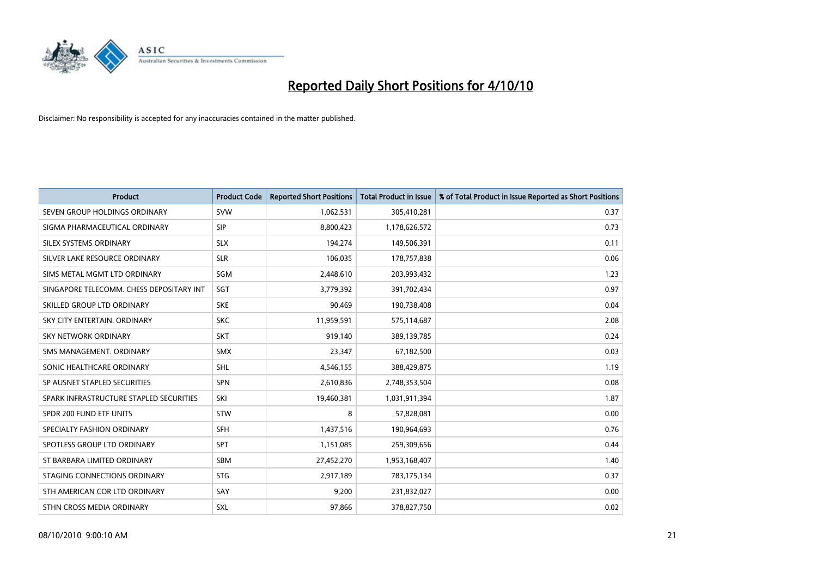

| <b>Product</b>                           | <b>Product Code</b> | <b>Reported Short Positions</b> | <b>Total Product in Issue</b> | % of Total Product in Issue Reported as Short Positions |
|------------------------------------------|---------------------|---------------------------------|-------------------------------|---------------------------------------------------------|
| SEVEN GROUP HOLDINGS ORDINARY            | <b>SVW</b>          | 1,062,531                       | 305,410,281                   | 0.37                                                    |
| SIGMA PHARMACEUTICAL ORDINARY            | <b>SIP</b>          | 8,800,423                       | 1,178,626,572                 | 0.73                                                    |
| SILEX SYSTEMS ORDINARY                   | <b>SLX</b>          | 194,274                         | 149,506,391                   | 0.11                                                    |
| SILVER LAKE RESOURCE ORDINARY            | <b>SLR</b>          | 106,035                         | 178,757,838                   | 0.06                                                    |
| SIMS METAL MGMT LTD ORDINARY             | SGM                 | 2,448,610                       | 203,993,432                   | 1.23                                                    |
| SINGAPORE TELECOMM. CHESS DEPOSITARY INT | SGT                 | 3,779,392                       | 391,702,434                   | 0.97                                                    |
| SKILLED GROUP LTD ORDINARY               | <b>SKE</b>          | 90,469                          | 190,738,408                   | 0.04                                                    |
| SKY CITY ENTERTAIN, ORDINARY             | <b>SKC</b>          | 11,959,591                      | 575,114,687                   | 2.08                                                    |
| SKY NETWORK ORDINARY                     | <b>SKT</b>          | 919,140                         | 389,139,785                   | 0.24                                                    |
| SMS MANAGEMENT, ORDINARY                 | <b>SMX</b>          | 23,347                          | 67,182,500                    | 0.03                                                    |
| SONIC HEALTHCARE ORDINARY                | <b>SHL</b>          | 4,546,155                       | 388,429,875                   | 1.19                                                    |
| SP AUSNET STAPLED SECURITIES             | SPN                 | 2,610,836                       | 2,748,353,504                 | 0.08                                                    |
| SPARK INFRASTRUCTURE STAPLED SECURITIES  | SKI                 | 19,460,381                      | 1,031,911,394                 | 1.87                                                    |
| SPDR 200 FUND ETF UNITS                  | <b>STW</b>          | 8                               | 57,828,081                    | 0.00                                                    |
| SPECIALTY FASHION ORDINARY               | <b>SFH</b>          | 1,437,516                       | 190,964,693                   | 0.76                                                    |
| SPOTLESS GROUP LTD ORDINARY              | <b>SPT</b>          | 1,151,085                       | 259,309,656                   | 0.44                                                    |
| ST BARBARA LIMITED ORDINARY              | <b>SBM</b>          | 27,452,270                      | 1,953,168,407                 | 1.40                                                    |
| STAGING CONNECTIONS ORDINARY             | <b>STG</b>          | 2,917,189                       | 783,175,134                   | 0.37                                                    |
| STH AMERICAN COR LTD ORDINARY            | SAY                 | 9,200                           | 231,832,027                   | 0.00                                                    |
| STHN CROSS MEDIA ORDINARY                | SXL                 | 97,866                          | 378,827,750                   | 0.02                                                    |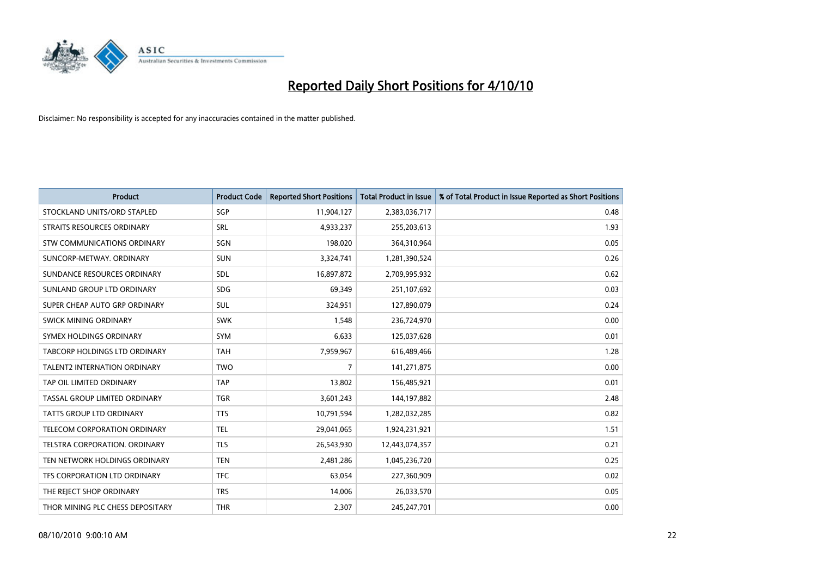

| <b>Product</b>                      | <b>Product Code</b> | <b>Reported Short Positions</b> | Total Product in Issue | % of Total Product in Issue Reported as Short Positions |
|-------------------------------------|---------------------|---------------------------------|------------------------|---------------------------------------------------------|
| STOCKLAND UNITS/ORD STAPLED         | SGP                 | 11,904,127                      | 2,383,036,717          | 0.48                                                    |
| STRAITS RESOURCES ORDINARY          | SRL                 | 4,933,237                       | 255,203,613            | 1.93                                                    |
| STW COMMUNICATIONS ORDINARY         | SGN                 | 198,020                         | 364,310,964            | 0.05                                                    |
| SUNCORP-METWAY, ORDINARY            | <b>SUN</b>          | 3,324,741                       | 1,281,390,524          | 0.26                                                    |
| SUNDANCE RESOURCES ORDINARY         | SDL                 | 16,897,872                      | 2,709,995,932          | 0.62                                                    |
| SUNLAND GROUP LTD ORDINARY          | <b>SDG</b>          | 69.349                          | 251,107,692            | 0.03                                                    |
| SUPER CHEAP AUTO GRP ORDINARY       | SUL                 | 324,951                         | 127,890,079            | 0.24                                                    |
| SWICK MINING ORDINARY               | <b>SWK</b>          | 1,548                           | 236,724,970            | 0.00                                                    |
| SYMEX HOLDINGS ORDINARY             | <b>SYM</b>          | 6,633                           | 125,037,628            | 0.01                                                    |
| TABCORP HOLDINGS LTD ORDINARY       | <b>TAH</b>          | 7,959,967                       | 616,489,466            | 1.28                                                    |
| <b>TALENT2 INTERNATION ORDINARY</b> | <b>TWO</b>          | 7                               | 141,271,875            | 0.00                                                    |
| TAP OIL LIMITED ORDINARY            | <b>TAP</b>          | 13,802                          | 156,485,921            | 0.01                                                    |
| TASSAL GROUP LIMITED ORDINARY       | <b>TGR</b>          | 3,601,243                       | 144,197,882            | 2.48                                                    |
| <b>TATTS GROUP LTD ORDINARY</b>     | <b>TTS</b>          | 10,791,594                      | 1,282,032,285          | 0.82                                                    |
| <b>TELECOM CORPORATION ORDINARY</b> | <b>TEL</b>          | 29,041,065                      | 1,924,231,921          | 1.51                                                    |
| TELSTRA CORPORATION, ORDINARY       | <b>TLS</b>          | 26,543,930                      | 12,443,074,357         | 0.21                                                    |
| TEN NETWORK HOLDINGS ORDINARY       | <b>TEN</b>          | 2,481,286                       | 1,045,236,720          | 0.25                                                    |
| TFS CORPORATION LTD ORDINARY        | <b>TFC</b>          | 63,054                          | 227,360,909            | 0.02                                                    |
| THE REJECT SHOP ORDINARY            | <b>TRS</b>          | 14,006                          | 26,033,570             | 0.05                                                    |
| THOR MINING PLC CHESS DEPOSITARY    | <b>THR</b>          | 2,307                           | 245,247,701            | 0.00                                                    |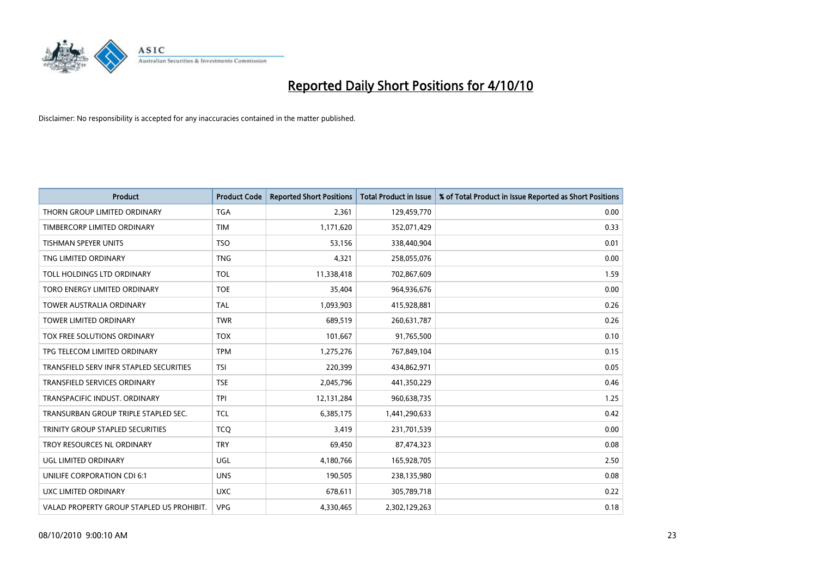

| <b>Product</b>                            | <b>Product Code</b> | <b>Reported Short Positions</b> | Total Product in Issue | % of Total Product in Issue Reported as Short Positions |
|-------------------------------------------|---------------------|---------------------------------|------------------------|---------------------------------------------------------|
| THORN GROUP LIMITED ORDINARY              | <b>TGA</b>          | 2,361                           | 129,459,770            | 0.00                                                    |
| TIMBERCORP LIMITED ORDINARY               | <b>TIM</b>          | 1,171,620                       | 352,071,429            | 0.33                                                    |
| <b>TISHMAN SPEYER UNITS</b>               | <b>TSO</b>          | 53,156                          | 338,440,904            | 0.01                                                    |
| TNG LIMITED ORDINARY                      | <b>TNG</b>          | 4,321                           | 258,055,076            | 0.00                                                    |
| TOLL HOLDINGS LTD ORDINARY                | <b>TOL</b>          | 11,338,418                      | 702,867,609            | 1.59                                                    |
| TORO ENERGY LIMITED ORDINARY              | <b>TOE</b>          | 35.404                          | 964,936,676            | 0.00                                                    |
| <b>TOWER AUSTRALIA ORDINARY</b>           | <b>TAL</b>          | 1,093,903                       | 415,928,881            | 0.26                                                    |
| TOWER LIMITED ORDINARY                    | <b>TWR</b>          | 689,519                         | 260,631,787            | 0.26                                                    |
| TOX FREE SOLUTIONS ORDINARY               | <b>TOX</b>          | 101,667                         | 91,765,500             | 0.10                                                    |
| TPG TELECOM LIMITED ORDINARY              | <b>TPM</b>          | 1,275,276                       | 767,849,104            | 0.15                                                    |
| TRANSFIELD SERV INFR STAPLED SECURITIES   | <b>TSI</b>          | 220,399                         | 434,862,971            | 0.05                                                    |
| TRANSFIELD SERVICES ORDINARY              | <b>TSE</b>          | 2,045,796                       | 441,350,229            | 0.46                                                    |
| TRANSPACIFIC INDUST, ORDINARY             | <b>TPI</b>          | 12,131,284                      | 960,638,735            | 1.25                                                    |
| TRANSURBAN GROUP TRIPLE STAPLED SEC.      | <b>TCL</b>          | 6,385,175                       | 1,441,290,633          | 0.42                                                    |
| TRINITY GROUP STAPLED SECURITIES          | <b>TCO</b>          | 3,419                           | 231,701,539            | 0.00                                                    |
| TROY RESOURCES NL ORDINARY                | <b>TRY</b>          | 69,450                          | 87,474,323             | 0.08                                                    |
| UGL LIMITED ORDINARY                      | <b>UGL</b>          | 4,180,766                       | 165,928,705            | 2.50                                                    |
| UNILIFE CORPORATION CDI 6:1               | <b>UNS</b>          | 190,505                         | 238,135,980            | 0.08                                                    |
| <b>UXC LIMITED ORDINARY</b>               | <b>UXC</b>          | 678,611                         | 305,789,718            | 0.22                                                    |
| VALAD PROPERTY GROUP STAPLED US PROHIBIT. | <b>VPG</b>          | 4.330.465                       | 2,302,129,263          | 0.18                                                    |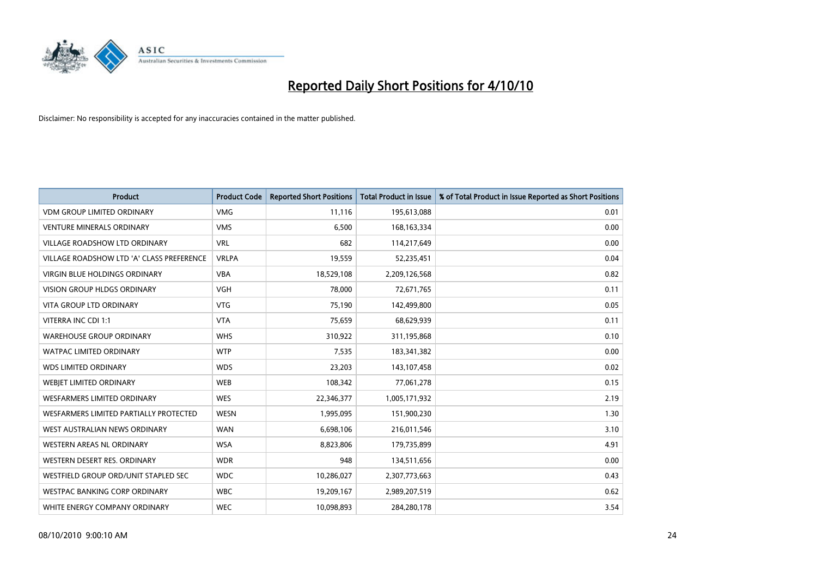

| Product                                   | <b>Product Code</b> | <b>Reported Short Positions</b> | <b>Total Product in Issue</b> | % of Total Product in Issue Reported as Short Positions |
|-------------------------------------------|---------------------|---------------------------------|-------------------------------|---------------------------------------------------------|
| <b>VDM GROUP LIMITED ORDINARY</b>         | <b>VMG</b>          | 11,116                          | 195,613,088                   | 0.01                                                    |
| <b>VENTURE MINERALS ORDINARY</b>          | <b>VMS</b>          | 6,500                           | 168, 163, 334                 | 0.00                                                    |
| <b>VILLAGE ROADSHOW LTD ORDINARY</b>      | <b>VRL</b>          | 682                             | 114,217,649                   | 0.00                                                    |
| VILLAGE ROADSHOW LTD 'A' CLASS PREFERENCE | <b>VRLPA</b>        | 19,559                          | 52,235,451                    | 0.04                                                    |
| <b>VIRGIN BLUE HOLDINGS ORDINARY</b>      | <b>VBA</b>          | 18,529,108                      | 2,209,126,568                 | 0.82                                                    |
| <b>VISION GROUP HLDGS ORDINARY</b>        | <b>VGH</b>          | 78,000                          | 72,671,765                    | 0.11                                                    |
| <b>VITA GROUP LTD ORDINARY</b>            | <b>VTG</b>          | 75,190                          | 142,499,800                   | 0.05                                                    |
| VITERRA INC CDI 1:1                       | <b>VTA</b>          | 75,659                          | 68,629,939                    | 0.11                                                    |
| <b>WAREHOUSE GROUP ORDINARY</b>           | <b>WHS</b>          | 310,922                         | 311,195,868                   | 0.10                                                    |
| <b>WATPAC LIMITED ORDINARY</b>            | <b>WTP</b>          | 7,535                           | 183,341,382                   | 0.00                                                    |
| <b>WDS LIMITED ORDINARY</b>               | <b>WDS</b>          | 23,203                          | 143,107,458                   | 0.02                                                    |
| WEBJET LIMITED ORDINARY                   | <b>WEB</b>          | 108,342                         | 77,061,278                    | 0.15                                                    |
| <b>WESFARMERS LIMITED ORDINARY</b>        | <b>WES</b>          | 22,346,377                      | 1,005,171,932                 | 2.19                                                    |
| WESFARMERS LIMITED PARTIALLY PROTECTED    | <b>WESN</b>         | 1,995,095                       | 151,900,230                   | 1.30                                                    |
| WEST AUSTRALIAN NEWS ORDINARY             | <b>WAN</b>          | 6,698,106                       | 216,011,546                   | 3.10                                                    |
| WESTERN AREAS NL ORDINARY                 | <b>WSA</b>          | 8,823,806                       | 179,735,899                   | 4.91                                                    |
| WESTERN DESERT RES. ORDINARY              | <b>WDR</b>          | 948                             | 134,511,656                   | 0.00                                                    |
| WESTFIELD GROUP ORD/UNIT STAPLED SEC      | <b>WDC</b>          | 10,286,027                      | 2,307,773,663                 | 0.43                                                    |
| <b>WESTPAC BANKING CORP ORDINARY</b>      | <b>WBC</b>          | 19,209,167                      | 2,989,207,519                 | 0.62                                                    |
| WHITE ENERGY COMPANY ORDINARY             | <b>WEC</b>          | 10,098,893                      | 284,280,178                   | 3.54                                                    |